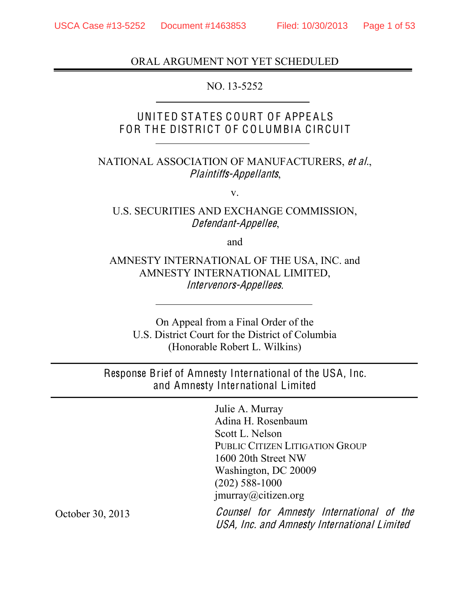### ORAL ARGUMENT NOT YET SCHEDULED

#### NO. 13-5252

### UNITED STATES COURT OF APPEALS FOR THE DISTRICT OF COLUMBIA CIRCUIT

### NATIONAL ASSOCIATION OF MANUFACTURERS, <sup>e</sup><sup>t</sup> al., Plaintiffs-Appellants,

v.

### U.S. SECURITIES AND EXCHANGE COMMISSION, Defendant-Appellee,

and

### AMNESTY INTERNATIONAL OF THE USA, INC. and AMNESTY INTERNATIONAL LIMITED, Intervenor<sup>s</sup>-Appellee<sup>s</sup>.

On Appeal from a Final Order of the U.S. District Court for the District of Columbia (Honorable Robert L. Wilkins)

Response Brief of Amnesty International of the USA, Inc. and Amnesty International Limited

> Julie A. Murray Adina H. Rosenbaum Scott L. Nelson PUBLIC CITIZEN LITIGATION GROUP 1600 20th Street NW Washington, DC 20009 (202) 588-1000 jmurray@citizen.org

Counsel for Amnesty International <sup>o</sup>f th<sup>e</sup> USA, Inc. and Amnesty International Limited

<span id="page-0-0"></span>October 30, 2013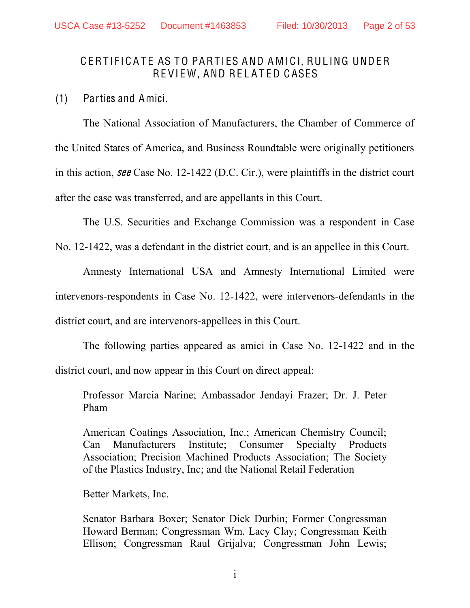### CERTIFICATE AS TO PARTIES AND AMICI, RULING UNDER REVIEW, AND RELATED CASES

(1) Parties and Amici.

The National Association of Manufacturers, the Chamber of Commerce of the United States of America, and Business Roundtable were originally petitioners in this action, <sup>s</sup>ee Case No. 12-1422 (D.C. Cir.), were plaintiffs in the district court after the case was transferred, and are appellants in this Court.

The U.S. Securities and Exchange Commission was a respondent in Case

No. 12-1422, was a defendant in the district court, and is an appellee in this Court.

Amnesty International USA and Amnesty International Limited were intervenors-respondents in Case No. 12-1422, were intervenors-defendants in the district court, and are intervenors-appellees in this Court.

The following parties appeared as amici in Case No. 12-1422 and in the district court, and now appear in this Court on direct appeal:

Professor Marcia Narine; Ambassador Jendayi Frazer; Dr. J. Peter Pham

American Coatings Association, Inc.; American Chemistry Council; Can Manufacturers Institute; Consumer Specialty Products Association; Precision Machined Products Association; The Society of the Plastics Industry, Inc; and the National Retail Federation

Better Markets, Inc.

Senator Barbara Boxer; Senator Dick Durbin; Former Congressman Howard Berman; Congressman Wm. Lacy Clay; Congressman Keith Ellison; Congressman Raul Grijalva; Congressman John Lewis;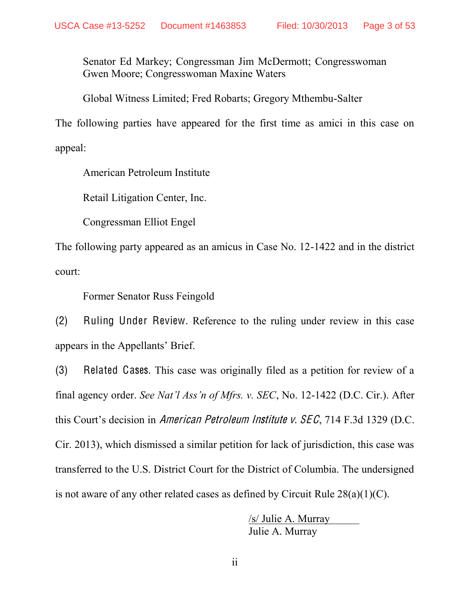Senator Ed Markey; Congressman Jim McDermott; Congresswoman Gwen Moore; Congresswoman Maxine Waters

Global Witness Limited; Fred Robarts; Gregory Mthembu-Salter

The following parties have appeared for the first time as amici in this case on appeal:

American Petroleum Institute

Retail Litigation Center, Inc.

Congressman Elliot Engel

The following party appeared as an amicus in Case No. 12-1422 and in the district court:

Former Senator Russ Feingold

(2) Ruling Under Review. Reference to the ruling under review in this case appears in the Appellants' Brief.

(3) Related Cases. This case was originally filed as a petition for review of a final agency order. *See Nat'l Ass'n of Mfrs. v. SEC*, No. 12-1422 (D.C. Cir.). After this Court's decision in American Petroleum Institute v.  $SEC, 714 F.3d 1329 (D.C.$ Cir. 2013), which dismissed a similar petition for lack of jurisdiction, this case was transferred to the U.S. District Court for the District of Columbia. The undersigned is not aware of any other related cases as defined by Circuit Rule  $28(a)(1)(C)$ .

> /s/ Julie A. Murray Julie A. Murray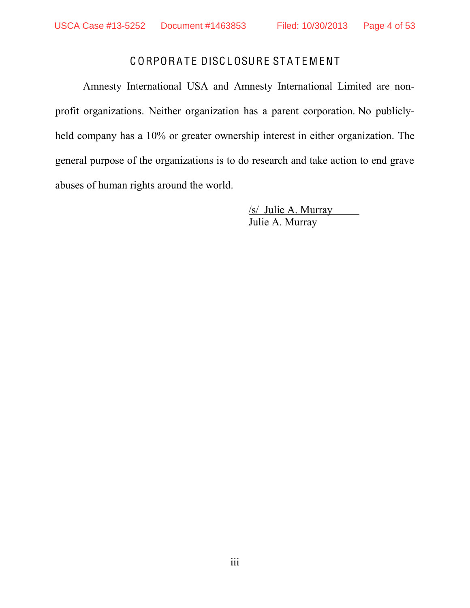### CORPORATE DISCLOSURE STATEMENT

<span id="page-3-0"></span>Amnesty International USA and Amnesty International Limited are nonprofit organizations. Neither organization has a parent corporation. No publiclyheld company has a 10% or greater ownership interest in either organization. The general purpose of the organizations is to do research and take action to end grave abuses of human rights around the world.

> /s/ Julie A. Murray Julie A. Murray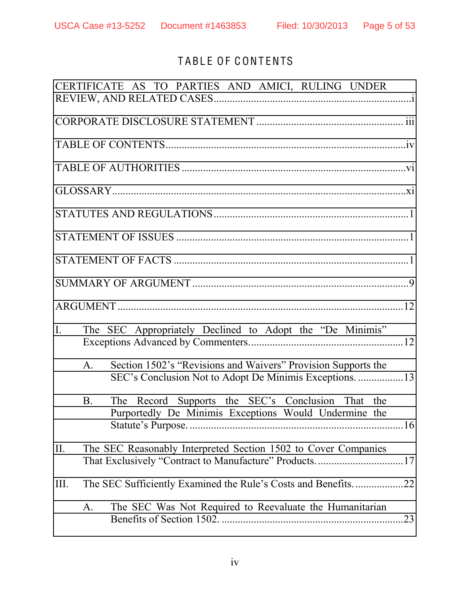# TABLE OF CONTENTS

<span id="page-4-0"></span>

|                |             | CERTIFICATE AS TO PARTIES AND AMICI, RULING UNDER                                                                       |  |
|----------------|-------------|-------------------------------------------------------------------------------------------------------------------------|--|
|                |             |                                                                                                                         |  |
|                |             |                                                                                                                         |  |
|                |             |                                                                                                                         |  |
|                |             |                                                                                                                         |  |
|                |             |                                                                                                                         |  |
|                |             |                                                                                                                         |  |
|                |             |                                                                                                                         |  |
|                |             |                                                                                                                         |  |
|                |             |                                                                                                                         |  |
| $\mathbf{I}$ . |             | The SEC Appropriately Declined to Adopt the "De Minimis"                                                                |  |
|                | $A_{\cdot}$ | Section 1502's "Revisions and Waivers" Provision Supports the                                                           |  |
|                | <b>B</b> .  | The Record Supports the SEC's Conclusion That the<br>Purportedly De Minimis Exceptions Would Undermine the              |  |
| II.            |             | The SEC Reasonably Interpreted Section 1502 to Cover Companies<br>That Exclusively "Contract to Manufacture" Products17 |  |
| III.           |             | The SEC Sufficiently Examined the Rule's Costs and Benefits22                                                           |  |
|                | A.          | The SEC Was Not Required to Reevaluate the Humanitarian                                                                 |  |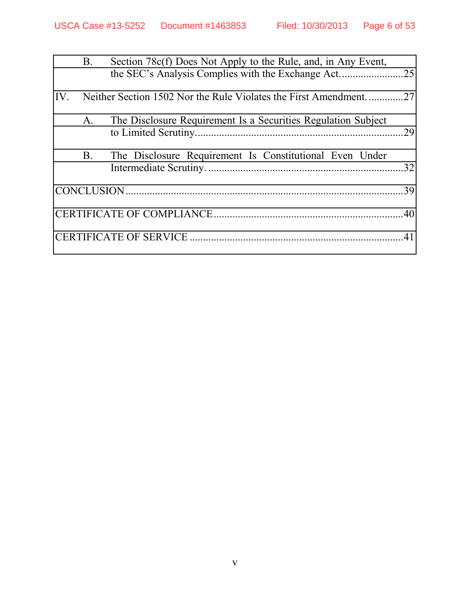|     | <b>B</b> .  | Section 78c(f) Does Not Apply to the Rule, and, in Any Event,    |     |
|-----|-------------|------------------------------------------------------------------|-----|
| IV. |             | Neither Section 1502 Nor the Rule Violates the First Amendment27 |     |
|     | $A_{\cdot}$ | The Disclosure Requirement Is a Securities Regulation Subject    | 29  |
|     | <b>B</b> .  | The Disclosure Requirement Is Constitutional Even Under          | .32 |
|     |             |                                                                  | .39 |
|     |             |                                                                  |     |
|     |             |                                                                  | .41 |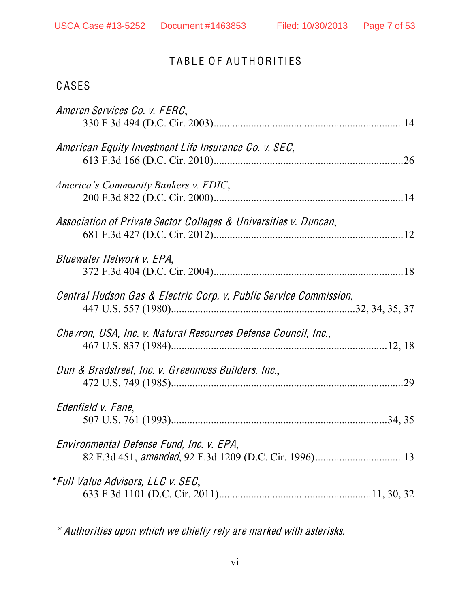#### Page 7 of 53

# TABLE OF AUTHORITIES

### <span id="page-6-0"></span>CASES

| Ameren Services Co. v. FERC.                                      |  |
|-------------------------------------------------------------------|--|
| American Equity Investment Life Insurance Co. v. SEC,             |  |
| America's Community Bankers v. FDIC,                              |  |
| Association of Private Sector Colleges & Universities v. Duncan,  |  |
| Bluewater Network v. EPA,                                         |  |
| Central Hudson Gas & Electric Corp. v. Public Service Commission, |  |
| Chevron, USA, Inc. v. Natural Resources Defense Council, Inc.,    |  |
| Dun & Bradstreet, Inc. v. Greenmoss Builders, Inc.,               |  |
| Edenfield v. Fane,                                                |  |
| Environmental Defense Fund, Inc. v. EPA,                          |  |
| *Full Value Advisors, LLC v. SEC,                                 |  |

\* Authorities upon which we chiefly rely are marked with asterisks.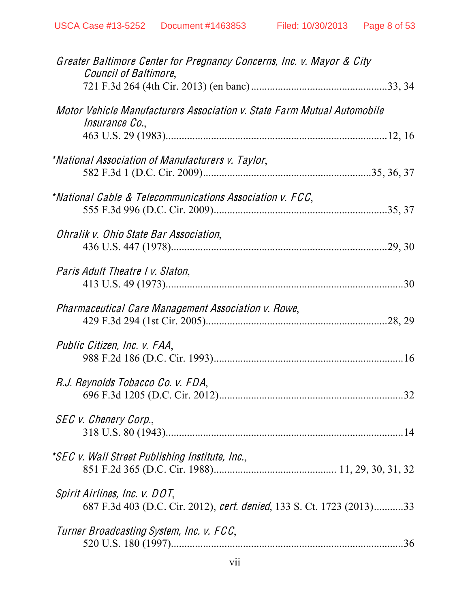| Greater Baltimore Center for Pregnancy Concerns, Inc. v. Mayor & City<br>Council of Baltimore,         |  |
|--------------------------------------------------------------------------------------------------------|--|
|                                                                                                        |  |
| Motor Vehicle Manufacturers Association v. State Farm Mutual Automobile<br><i>Insurance Co.</i> ,      |  |
|                                                                                                        |  |
| *National Association of Manufacturers v. Taylor,                                                      |  |
| *National Cable & Telecommunications Association v. FCC,                                               |  |
| Ohralik v. Ohio State Bar Association,                                                                 |  |
| Paris Adult Theatre I v. Slaton,                                                                       |  |
| Pharmaceutical Care Management Association v. Rowe,                                                    |  |
| Public Citizen, Inc. v. FAA,                                                                           |  |
| R.J. Reynolds Tobacco Co. v. FDA,                                                                      |  |
| SEC v. Chenery Corp.,                                                                                  |  |
| *SEC v. Wall Street Publishing Institute, Inc.,                                                        |  |
| Spirit Airlines, Inc. v. DOT,<br>687 F.3d 403 (D.C. Cir. 2012), cert. denied, 133 S. Ct. 1723 (2013)33 |  |
| Turner Broadcasting System, Inc. v. FCC,                                                               |  |
|                                                                                                        |  |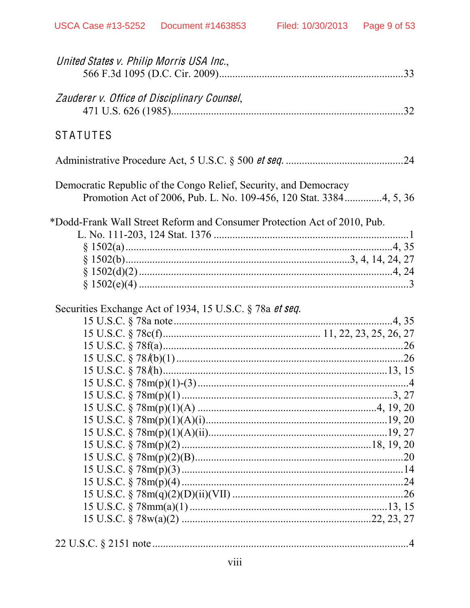| United States v. Philip Morris USA Inc.,                                                                                               |  |
|----------------------------------------------------------------------------------------------------------------------------------------|--|
| Zauderer v. Office of Disciplinary Counsel,                                                                                            |  |
| <b>STATUTES</b>                                                                                                                        |  |
|                                                                                                                                        |  |
| Democratic Republic of the Congo Relief, Security, and Democracy<br>Promotion Act of 2006, Pub. L. No. 109-456, 120 Stat. 33844, 5, 36 |  |
| *Dodd-Frank Wall Street Reform and Consumer Protection Act of 2010, Pub.                                                               |  |
|                                                                                                                                        |  |
|                                                                                                                                        |  |
|                                                                                                                                        |  |
|                                                                                                                                        |  |
|                                                                                                                                        |  |
| Securities Exchange Act of 1934, 15 U.S.C. § 78a et seq.                                                                               |  |
|                                                                                                                                        |  |
|                                                                                                                                        |  |
|                                                                                                                                        |  |
|                                                                                                                                        |  |
|                                                                                                                                        |  |
|                                                                                                                                        |  |
|                                                                                                                                        |  |
|                                                                                                                                        |  |
|                                                                                                                                        |  |
|                                                                                                                                        |  |
|                                                                                                                                        |  |
|                                                                                                                                        |  |
|                                                                                                                                        |  |
|                                                                                                                                        |  |
|                                                                                                                                        |  |
|                                                                                                                                        |  |
|                                                                                                                                        |  |
|                                                                                                                                        |  |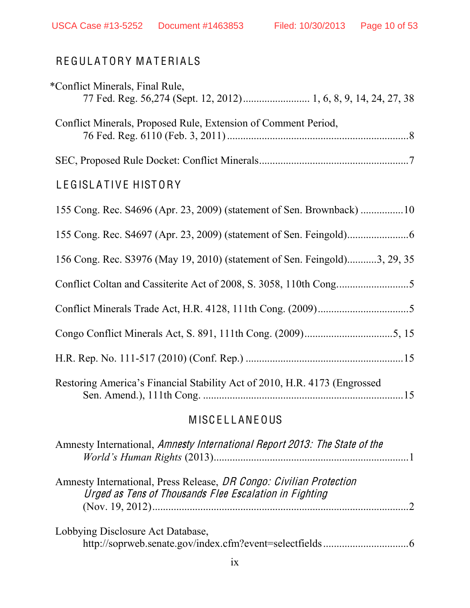# REGULATORY MATERIALS

| *Conflict Minerals, Final Rule,                                           |
|---------------------------------------------------------------------------|
| Conflict Minerals, Proposed Rule, Extension of Comment Period,            |
|                                                                           |
| LEGISLATIVE HISTORY                                                       |
| 155 Cong. Rec. S4696 (Apr. 23, 2009) (statement of Sen. Brownback) 10     |
|                                                                           |
| 156 Cong. Rec. S3976 (May 19, 2010) (statement of Sen. Feingold)3, 29, 35 |
|                                                                           |
|                                                                           |
|                                                                           |
|                                                                           |
| Restoring America's Financial Stability Act of 2010, H.R. 4173 (Engrossed |

# **MISCELLANEOUS**

| Amnesty International, Amnesty International Report 2013: The State of the                                                    |  |
|-------------------------------------------------------------------------------------------------------------------------------|--|
| Amnesty International, Press Release, DR Congo: Civilian Protection<br>Urged as Tens of Thousands Flee Escalation in Fighting |  |
| Lobbying Disclosure Act Database,                                                                                             |  |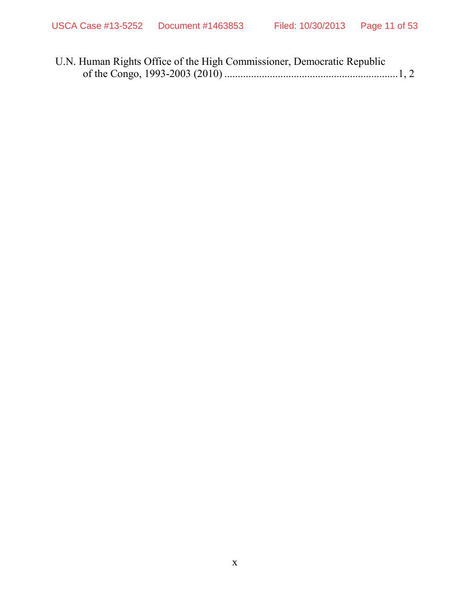| U.N. Human Rights Office of the High Commissioner, Democratic Republic |  |
|------------------------------------------------------------------------|--|
|                                                                        |  |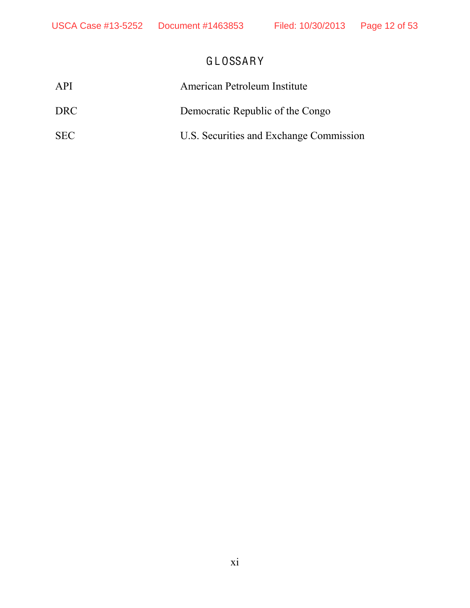# GLOSSARY

<span id="page-11-0"></span>

| API        | American Petroleum Institute            |
|------------|-----------------------------------------|
| DRC.       | Democratic Republic of the Congo        |
| <b>SEC</b> | U.S. Securities and Exchange Commission |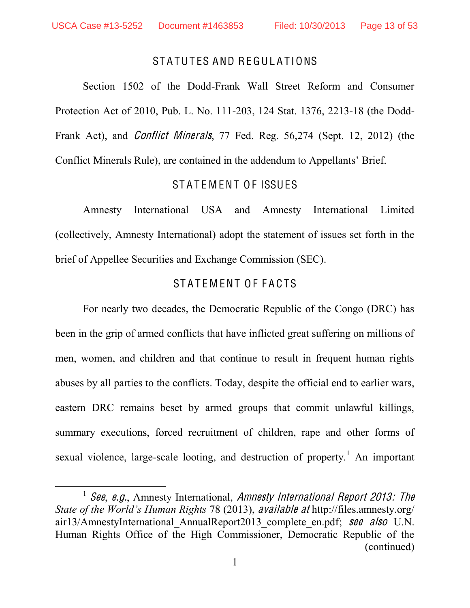#### STATUTES AND REGULATIONS

<span id="page-12-0"></span>Section 1502 of the Dodd-Frank Wall Street Reform and Consumer Protection Act of 2010, Pub. L. No. 111-203, 124 Stat. 1376, 2213-18 (the Dodd-Frank Act), and Conflic<sup>t</sup> Minerals, 77 Fed. Reg. 56,274 (Sept. 12, 2012) (the Conflict Minerals Rule), are contained in the addendum to Appellants' Brief.

#### STATEMENT OF ISSUES

<span id="page-12-1"></span>Amnesty International USA and Amnesty International Limited (collectively, Amnesty International) adopt the statement of issues set forth in the brief of Appellee Securities and Exchange Commission (SEC).

### STATEMENT OF FACTS

<span id="page-12-2"></span>For nearly two decades, the Democratic Republic of the Congo (DRC) has been in the grip of armed conflicts that have inflicted great suffering on millions of men, women, and children and that continue to result in frequent human rights abuses by all parties to the conflicts. Today, despite the official end to earlier wars, eastern DRC remains beset by armed groups that commit unlawful killings, summary executions, forced recruitment of children, rape and other forms of sexual violence, large-scale looting, and destruction of property.<sup>1</sup> An important

<sup>&</sup>lt;sup>1</sup> See, e.g., Amnesty International, Amnesty International Report 2013: The *State of the World's Human Rights 78 (2013), available at http://files.amnesty.org/* air13/AmnestyInternational AnnualReport2013 complete en.pdf; see also U.N. Human Rights Office of the High Commissioner, Democratic Republic of the (continued)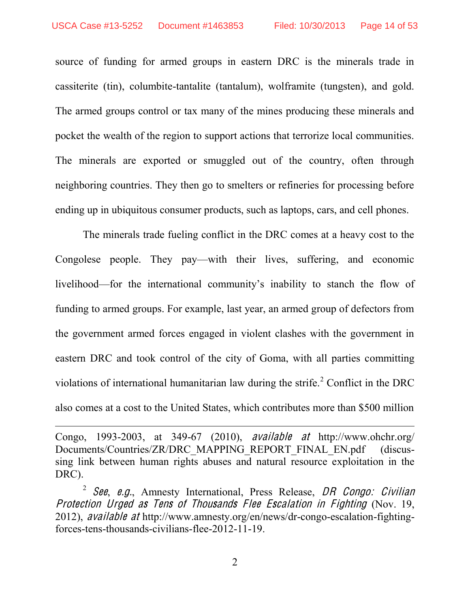$\overline{a}$ 

source of funding for armed groups in eastern DRC is the minerals trade in cassiterite (tin), columbite-tantalite (tantalum), wolframite (tungsten), and gold. The armed groups control or tax many of the mines producing these minerals and pocket the wealth of the region to support actions that terrorize local communities. The minerals are exported or smuggled out of the country, often through neighboring countries. They then go to smelters or refineries for processing before ending up in ubiquitous consumer products, such as laptops, cars, and cell phones.

The minerals trade fueling conflict in the DRC comes at a heavy cost to the Congolese people. They pay—with their lives, suffering, and economic livelihood—for the international community's inability to stanch the flow of funding to armed groups. For example, last year, an armed group of defectors from the government armed forces engaged in violent clashes with the government in eastern DRC and took control of the city of Goma, with all parties committing violations of international humanitarian law during the strife.<sup>2</sup> Conflict in the DRC also comes at a cost to the United States, which contributes more than \$500 million

Congo, 1993-2003, at 349-67 (2010), availabl<sup>e</sup> <sup>a</sup><sup>t</sup> http://www.ohchr.org/ Documents/Countries/ZR/DRC\_MAPPING\_REPORT\_FINAL\_EN.pdf (discussing link between human rights abuses and natural resource exploitation in the DRC).

<sup>&</sup>lt;sup>2</sup> See, e.g., Amnesty International, Press Release, DR Congo: Civilian Protection Urged <sup>a</sup><sup>s</sup> Ten<sup>s</sup> <sup>o</sup>f Thousand<sup>s</sup> Flee Escalation in Fighting (Nov. 19, 2012), availabl<sup>e</sup> <sup>a</sup><sup>t</sup> http://www.amnesty.org/en/news/dr-congo-escalation-fightingforces-tens-thousands-civilians-flee-2012-11-19.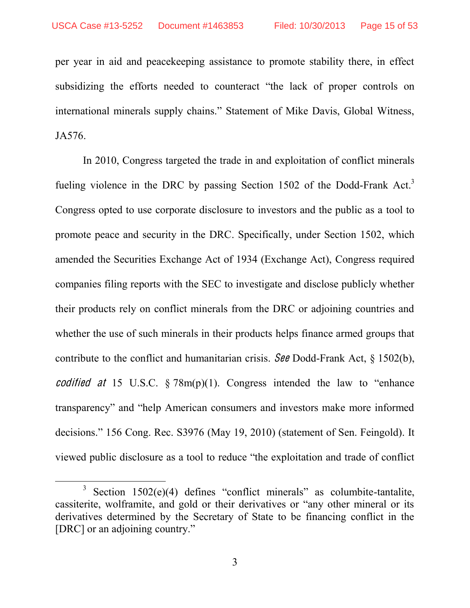per year in aid and peacekeeping assistance to promote stability there, in effect subsidizing the efforts needed to counteract "the lack of proper controls on international minerals supply chains." Statement of Mike Davis, Global Witness, JA576.

In 2010, Congress targeted the trade in and exploitation of conflict minerals fueling violence in the DRC by passing Section 1502 of the Dodd-Frank Act.<sup>3</sup> Congress opted to use corporate disclosure to investors and the public as a tool to promote peace and security in the DRC. Specifically, under Section 1502, which amended the Securities Exchange Act of 1934 (Exchange Act), Congress required companies filing reports with the SEC to investigate and disclose publicly whether their products rely on conflict minerals from the DRC or adjoining countries and whether the use of such minerals in their products helps finance armed groups that contribute to the conflict and humanitarian crisis. See Dodd-Frank Act, § 1502(b), codified at 15 U.S.C.  $\S 78m(p)(1)$ . Congress intended the law to "enhance" transparency" and "help American consumers and investors make more informed decisions." 156 Cong. Rec. S3976 (May 19, 2010) (statement of Sen. Feingold). It viewed public disclosure as a tool to reduce "the exploitation and trade of conflict

 $3$  Section 1502(e)(4) defines "conflict minerals" as columbite-tantalite, cassiterite, wolframite, and gold or their derivatives or "any other mineral or its derivatives determined by the Secretary of State to be financing conflict in the [DRC] or an adjoining country."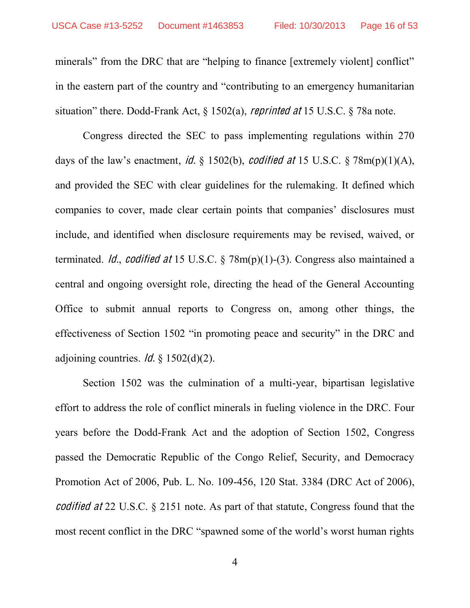minerals" from the DRC that are "helping to finance [extremely violent] conflict" in the eastern part of the country and "contributing to an emergency humanitarian situation" there. Dodd-Frank Act,  $\S$  1502(a), *reprinted at* 15 U.S.C.  $\S$  78a note.

Congress directed the SEC to pass implementing regulations within 270 days of the law's enactment, *id.* § 1502(b), *codified at* 15 U.S.C. § 78m(p)(1)(A), and provided the SEC with clear guidelines for the rulemaking. It defined which companies to cover, made clear certain points that companies' disclosures must include, and identified when disclosure requirements may be revised, waived, or terminated. *Id., codified at* 15 U.S.C.  $\S$  78m(p)(1)-(3). Congress also maintained a central and ongoing oversight role, directing the head of the General Accounting Office to submit annual reports to Congress on, among other things, the effectiveness of Section 1502 "in promoting peace and security" in the DRC and adjoining countries. *Id.*  $\frac{1}{2}$  1502(d)(2).

Section 1502 was the culmination of a multi-year, bipartisan legislative effort to address the role of conflict minerals in fueling violence in the DRC. Four years before the Dodd-Frank Act and the adoption of Section 1502, Congress passed the Democratic Republic of the Congo Relief, Security, and Democracy Promotion Act of 2006, Pub. L. No. 109-456, 120 Stat. 3384 (DRC Act of 2006), <sup>c</sup>odified <sup>a</sup><sup>t</sup> 22 U.S.C. § 2151 note. As part of that statute, Congress found that the most recent conflict in the DRC "spawned some of the world's worst human rights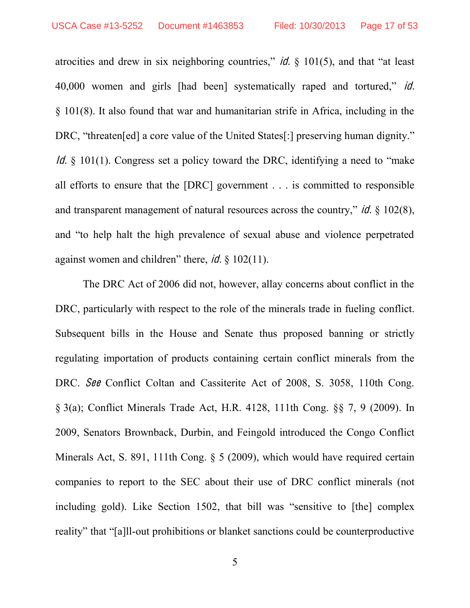atrocities and drew in six neighboring countries," *id.*  $\S$  101(5), and that "at least 40,000 women and girls [had been] systematically raped and tortured," *id.* § 101(8). It also found that war and humanitarian strife in Africa, including in the DRC, "threaten [ed] a core value of the United States[:] preserving human dignity." Id.  $\S$  101(1). Congress set a policy toward the DRC, identifying a need to "make" all efforts to ensure that the [DRC] government . . . is committed to responsible and transparent management of natural resources across the country," *id.*  $\S$  102(8), and "to help halt the high prevalence of sexual abuse and violence perpetrated against women and children" there,  $\dot{\mathcal{U}}$ . § 102(11).

The DRC Act of 2006 did not, however, allay concerns about conflict in the DRC, particularly with respect to the role of the minerals trade in fueling conflict. Subsequent bills in the House and Senate thus proposed banning or strictly regulating importation of products containing certain conflict minerals from the DRC. See Conflict Coltan and Cassiterite Act of 2008, S. 3058, 110th Cong. § 3(a); Conflict Minerals Trade Act, H.R. 4128, 111th Cong. §§ 7, 9 (2009). In 2009, Senators Brownback, Durbin, and Feingold introduced the Congo Conflict Minerals Act, S. 891, 111th Cong. § 5 (2009), which would have required certain companies to report to the SEC about their use of DRC conflict minerals (not including gold). Like Section 1502, that bill was "sensitive to  $[the]$  complex reality" that "[a]ll-out prohibitions or blanket sanctions could be counterproductive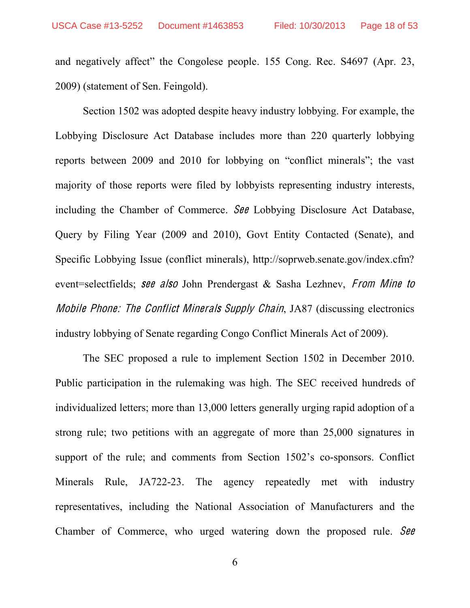and negatively affect" the Congolese people. 155 Cong. Rec. S4697 (Apr. 23, 2009) (statement of Sen. Feingold).

Section 1502 was adopted despite heavy industry lobbying. For example, the Lobbying Disclosure Act Database includes more than 220 quarterly lobbying reports between 2009 and 2010 for lobbying on "conflict minerals"; the vast majority of those reports were filed by lobbyists representing industry interests, including the Chamber of Commerce. See Lobbying Disclosure Act Database, Query by Filing Year (2009 and 2010), Govt Entity Contacted (Senate), and Specific Lobbying Issue (conflict minerals), http://soprweb.senate.gov/index.cfm? event=selectfields; see also John Prendergast & Sasha Lezhnev, From Mine to Mobil<sup>e</sup> Phone: Th<sup>e</sup> Conflic<sup>t</sup> Mineral<sup>s</sup> Supply Chain, JA87 (discussing electronics industry lobbying of Senate regarding Congo Conflict Minerals Act of 2009).

The SEC proposed a rule to implement Section 1502 in December 2010. Public participation in the rulemaking was high. The SEC received hundreds of individualized letters; more than 13,000 letters generally urging rapid adoption of a strong rule; two petitions with an aggregate of more than 25,000 signatures in support of the rule; and comments from Section  $1502$ 's co-sponsors. Conflict Minerals Rule, JA722-23. The agency repeatedly met with industry representatives, including the National Association of Manufacturers and the Chamber of Commerce, who urged watering down the proposed rule. See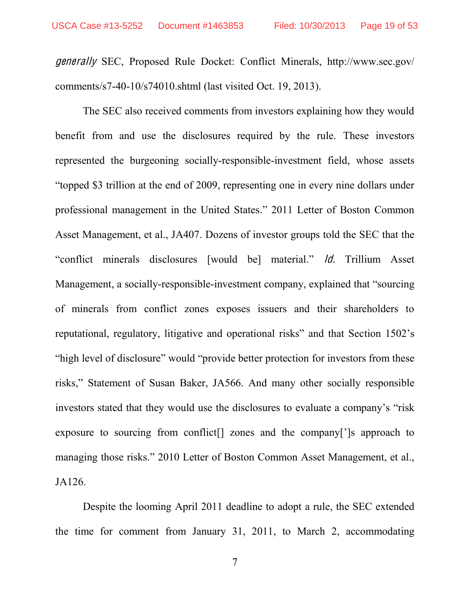gen<sup>e</sup>rally SEC, Proposed Rule Docket: Conflict Minerals, http://www.sec.gov/ comments/s7-40-10/s74010.shtml (last visited Oct. 19, 2013).

The SEC also received comments from investors explaining how they would benefit from and use the disclosures required by the rule. These investors represented the burgeoning socially-responsible-investment field, whose assets "topped \$3 trillion at the end of 2009, representing one in every nine dollars under professional management in the United States.´ 2011 Letter of Boston Common Asset Management, et al., JA407. Dozens of investor groups told the SEC that the "conflict minerals disclosures [would be] material." *ld.* Trillium Asset Management, a socially-responsible-investment company, explained that "sourcing" of minerals from conflict zones exposes issuers and their shareholders to reputational, regulatory, litigative and operational risks" and that Section 1502's "high level of disclosure" would "provide better protection for investors from these risks," Statement of Susan Baker, JA566. And many other socially responsible investors stated that they would use the disclosures to evaluate a company's "risk" exposure to sourcing from conflict  $\lceil \cdot \rceil$  zones and the company  $\lceil \cdot \rceil$ s approach to managing those risks." 2010 Letter of Boston Common Asset Management, et al., JA126.

Despite the looming April 2011 deadline to adopt a rule, the SEC extended the time for comment from January 31, 2011, to March 2, accommodating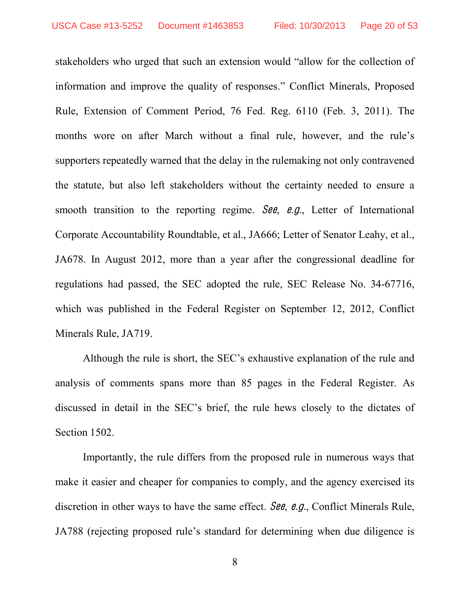stakeholders who urged that such an extension would "allow for the collection of information and improve the quality of responses." Conflict Minerals, Proposed Rule, Extension of Comment Period, 76 Fed. Reg. 6110 (Feb. 3, 2011). The months wore on after March without a final rule, however, and the rule's supporters repeatedly warned that the delay in the rulemaking not only contravened the statute, but also left stakeholders without the certainty needed to ensure a smooth transition to the reporting regime. See, e.g., Letter of International Corporate Accountability Roundtable, et al., JA666; Letter of Senator Leahy, et al., JA678. In August 2012, more than a year after the congressional deadline for regulations had passed, the SEC adopted the rule, SEC Release No. 34-67716, which was published in the Federal Register on September 12, 2012, Conflict Minerals Rule, JA719.

Although the rule is short, the SEC's exhaustive explanation of the rule and analysis of comments spans more than 85 pages in the Federal Register. As discussed in detail in the SEC's brief, the rule hews closely to the dictates of Section 1502.

Importantly, the rule differs from the proposed rule in numerous ways that make it easier and cheaper for companies to comply, and the agency exercised its discretion in other ways to have the same effect. See, e.g., Conflict Minerals Rule, JA788 (rejecting proposed rule's standard for determining when due diligence is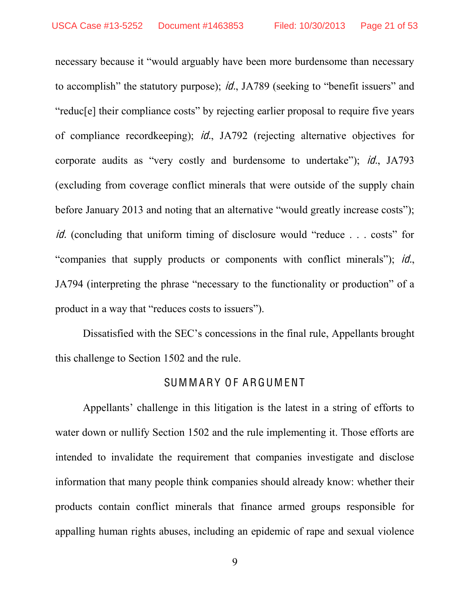necessary because it "would arguably have been more burdensome than necessary to accomplish" the statutory purpose); *id.*, JA789 (seeking to "benefit issuers" and "reduc<sup>[e]</sup> their compliance costs" by rejecting earlier proposal to require five years of compliance recordkeeping); id., JA792 (rejecting alternative objectives for corporate audits as "very costly and burdensome to undertake"); *id.*, JA793 (excluding from coverage conflict minerals that were outside of the supply chain before January 2013 and noting that an alternative "would greatly increase costs"); *id.* (concluding that uniform timing of disclosure would "reduce  $\ldots$  costs" for "companies that supply products or components with conflict minerals"); *id.*, JA794 (interpreting the phrase "necessary to the functionality or production" of a product in a way that "reduces costs to issuers").

Dissatisfied with the SEC's concessions in the final rule, Appellants brought this challenge to Section 1502 and the rule.

#### SUMMARY OF ARGUMENT

<span id="page-20-0"></span>Appellants' challenge in this litigation is the latest in a string of efforts to water down or nullify Section 1502 and the rule implementing it. Those efforts are intended to invalidate the requirement that companies investigate and disclose information that many people think companies should already know: whether their products contain conflict minerals that finance armed groups responsible for appalling human rights abuses, including an epidemic of rape and sexual violence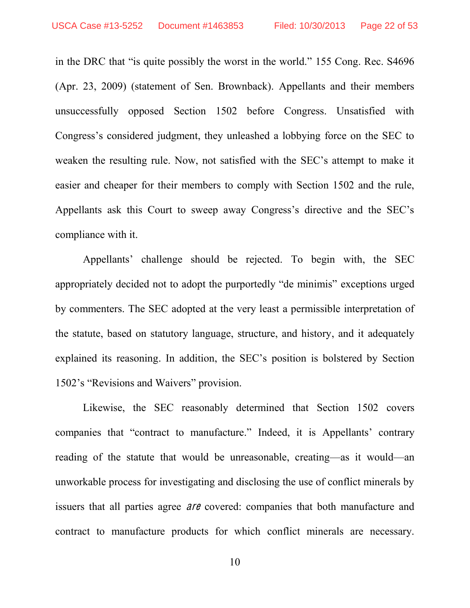in the DRC that "is quite possibly the worst in the world." 155 Cong. Rec. S4696 (Apr. 23, 2009) (statement of Sen. Brownback). Appellants and their members unsuccessfully opposed Section 1502 before Congress. Unsatisfied with Congress's considered judgment, they unleashed a lobbying force on the SEC to weaken the resulting rule. Now, not satisfied with the SEC's attempt to make it easier and cheaper for their members to comply with Section 1502 and the rule, Appellants ask this Court to sweep away Congress's directive and the SEC's compliance with it.

Appellants' challenge should be rejected. To begin with, the SEC appropriately decided not to adopt the purportedly "de minimis" exceptions urged by commenters. The SEC adopted at the very least a permissible interpretation of the statute, based on statutory language, structure, and history, and it adequately explained its reasoning. In addition, the SEC's position is bolstered by Section 1502's "Revisions and Waivers" provision.

Likewise, the SEC reasonably determined that Section 1502 covers companies that "contract to manufacture." Indeed, it is Appellants' contrary reading of the statute that would be unreasonable, creating—as it would—an unworkable process for investigating and disclosing the use of conflict minerals by issuers that all parties agree ar<sup>e</sup> covered: companies that both manufacture and contract to manufacture products for which conflict minerals are necessary.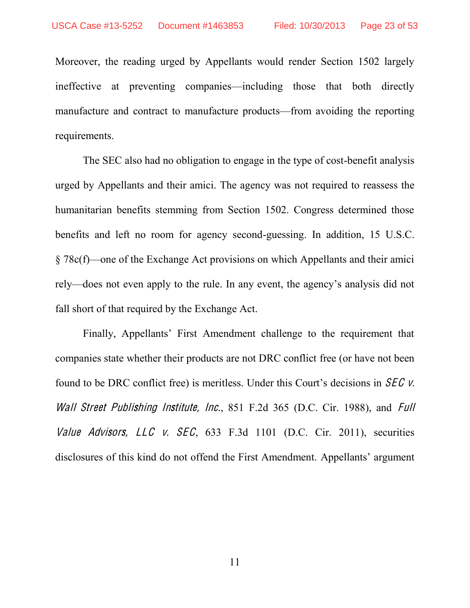Moreover, the reading urged by Appellants would render Section 1502 largely ineffective at preventing companies—including those that both directly manufacture and contract to manufacture products—from avoiding the reporting requirements.

The SEC also had no obligation to engage in the type of cost-benefit analysis urged by Appellants and their amici. The agency was not required to reassess the humanitarian benefits stemming from Section 1502. Congress determined those benefits and left no room for agency second-guessing. In addition, 15 U.S.C.  $\S 78c(f)$ —one of the Exchange Act provisions on which Appellants and their amici rely—does not even apply to the rule. In any event, the agency's analysis did not fall short of that required by the Exchange Act.

Finally, Appellants' First Amendment challenge to the requirement that companies state whether their products are not DRC conflict free (or have not been found to be DRC conflict free) is meritless. Under this Court's decisions in  $SEC$  v. Wall Street Publishing Institute, Inc., 851 F.2d 365 (D.C. Cir. 1988), and Full Value Advisors, LLC v. SEC,  $633$  F.3d 1101 (D.C. Cir. 2011), securities disclosures of this kind do not offend the First Amendment. Appellants' argument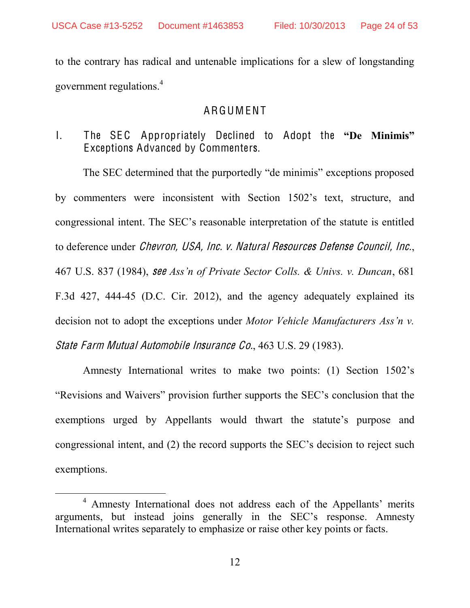to the contrary has radical and untenable implications for a slew of longstanding government regulations.<sup>4</sup>

### ARGUMENT

<span id="page-23-1"></span><span id="page-23-0"></span> $\mathbf{L}$ The SEC Appropriately Declined to Adopt the "De Minimis" Exceptions Advanced by Commenters.

The SEC determined that the purportedly "de minimis" exceptions proposed by commenters were inconsistent with Section 1502's text, structure, and congressional intent. The SEC's reasonable interpretation of the statute is entitled to deference under *Chevron, USA, Inc. v. Natural Resources Defense Council, Inc.* 467 U.S. 837 (1984), see Ass'n of Private Sector Colls. & Univs. v. Duncan, 681 F.3d 427, 444-45 (D.C. Cir. 2012), and the agency adequately explained its decision not to adopt the exceptions under *Motor Vehicle Manufacturers Ass'n v*. State Farm Mutual Automobile Insurance Co., 463 U.S. 29 (1983).

Amnesty International writes to make two points: (1) Section 1502's "Revisions and Waivers" provision further supports the SEC's conclusion that the exemptions urged by Appellants would thwart the statute's purpose and congressional intent, and (2) the record supports the SEC's decision to reject such exemptions.

<sup>&</sup>lt;sup>4</sup> Amnesty International does not address each of the Appellants' merits arguments, but instead joins generally in the SEC's response. Amnesty International writes separately to emphasize or raise other key points or facts.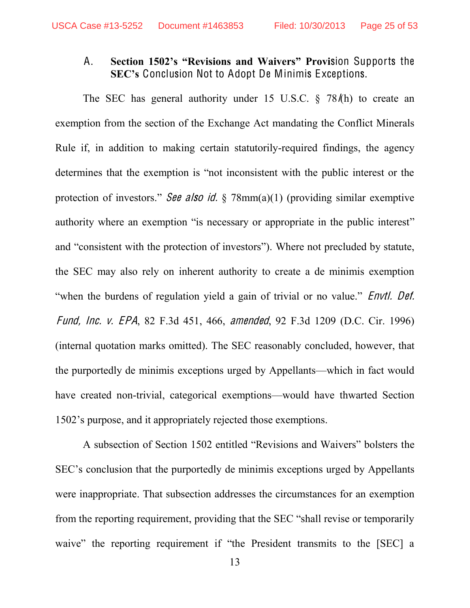#### <span id="page-24-0"></span>Section 1502's "Revisions and Waivers" Provision Supports the  $A_{-}$ SEC's Conclusion Not to Adopt De Minimis Exceptions.

The SEC has general authority under 15 U.S.C. § 78/h) to create an exemption from the section of the Exchange Act mandating the Conflict Minerals Rule if, in addition to making certain statutorily-required findings, the agency determines that the exemption is "not inconsistent with the public interest or the protection of investors." See also id.  $\S$  78mm(a)(1) (providing similar exemptive authority where an exemption "is necessary or appropriate in the public interest" and "consistent with the protection of investors"). Where not precluded by statute, the SEC may also rely on inherent authority to create a de minimis exemption "when the burdens of regulation yield a gain of trivial or no value." *Envtl. Def. Fund, Inc. v. EPA*, 82 F.3d 451, 466, *amended*, 92 F.3d 1209 (D.C. Cir. 1996) (internal quotation marks omitted). The SEC reasonably concluded, however, that the purportedly de minimis exceptions urged by Appellants—which in fact would have created non-trivial, categorical exemptions—would have thwarted Section 1502's purpose, and it appropriately rejected those exemptions.

A subsection of Section 1502 entitled "Revisions and Waivers" bolsters the SEC's conclusion that the purportedly de minimis exceptions urged by Appellants were inappropriate. That subsection addresses the circumstances for an exemption from the reporting requirement, providing that the SEC "shall revise or temporarily waive" the reporting requirement if "the President transmits to the [SEC] a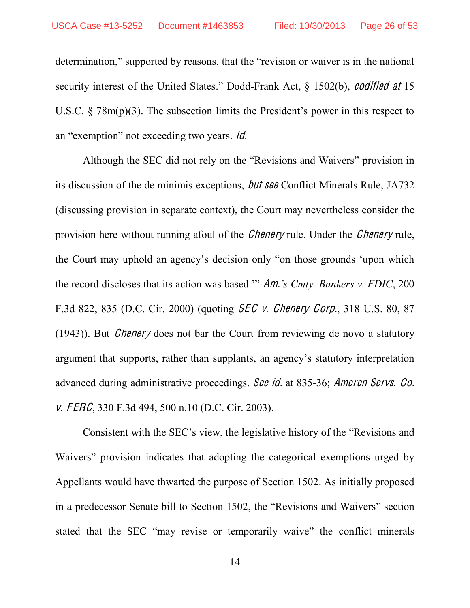determination," supported by reasons, that the "revision or waiver is in the national security interest of the United States.<sup>"</sup> Dodd-Frank Act,  $\S$  1502(b), *codified at* 15 U.S.C.  $\frac{1}{2}$  78m(p)(3). The subsection limits the President's power in this respect to an "exemption" not exceeding two years.  $\theta$ .

Although the SEC did not rely on the "Revisions and Waivers" provision in its discussion of the de minimis exceptions, bu<sup>t</sup> <sup>s</sup>ee Conflict Minerals Rule, JA732 (discussing provision in separate context), the Court may nevertheless consider the provision here without running afoul of the *Chenery* rule. Under the *Chenery* rule, the Court may uphold an agency's decision only "on those grounds 'upon which the record discloses that its action was based." Am.'s Cmty. Bankers v. FDIC, 200 F.3d 822, 835 (D.C. Cir. 2000) (quoting SEC <sup>v</sup>. Chenery Corp., 318 U.S. 80, 87 (1943)). But Chenery does not bar the Court from reviewing de novo a statutory argument that supports, rather than supplants, an agency's statutory interpretation advanced during administrative proceedings. See id. at 835-36; Amere<sup>n</sup> Servs. Co. v. FERC, 330 F.3d 494, 500 n.10 (D.C. Cir. 2003).

Consistent with the SEC's view, the legislative history of the "Revisions and Waivers" provision indicates that adopting the categorical exemptions urged by Appellants would have thwarted the purpose of Section 1502. As initially proposed in a predecessor Senate bill to Section 1502, the "Revisions and Waivers" section stated that the SEC "may revise or temporarily waive" the conflict minerals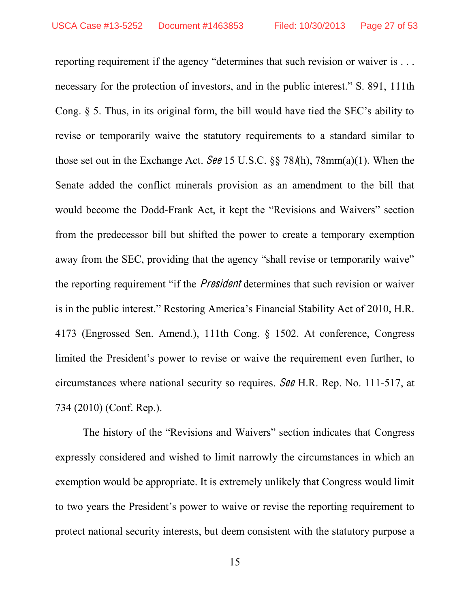reporting requirement if the agency "determines that such revision or waiver is  $\dots$ necessary for the protection of investors, and in the public interest." S. 891, 111th Cong.  $\S$  5. Thus, in its original form, the bill would have tied the SEC's ability to revise or temporarily waive the statutory requirements to a standard similar to those set out in the Exchange Act. See 15 U.S.C.  $\S$  78/(h), 78mm(a)(1). When the Senate added the conflict minerals provision as an amendment to the bill that would become the Dodd-Frank Act, it kept the "Revisions and Waivers" section from the predecessor bill but shifted the power to create a temporary exemption away from the SEC, providing that the agency "shall revise or temporarily waive" the reporting requirement "if the *President* determines that such revision or waiver is in the public interest." Restoring America's Financial Stability Act of 2010, H.R. 4173 (Engrossed Sen. Amend.), 111th Cong. § 1502. At conference, Congress limited the President's power to revise or waive the requirement even further, to circumstances where national security so requires. See H.R. Rep. No. 111-517, at 734 (2010) (Conf. Rep.).

The history of the "Revisions and Waivers" section indicates that Congress expressly considered and wished to limit narrowly the circumstances in which an exemption would be appropriate. It is extremely unlikely that Congress would limit to two years the President's power to waive or revise the reporting requirement to protect national security interests, but deem consistent with the statutory purpose a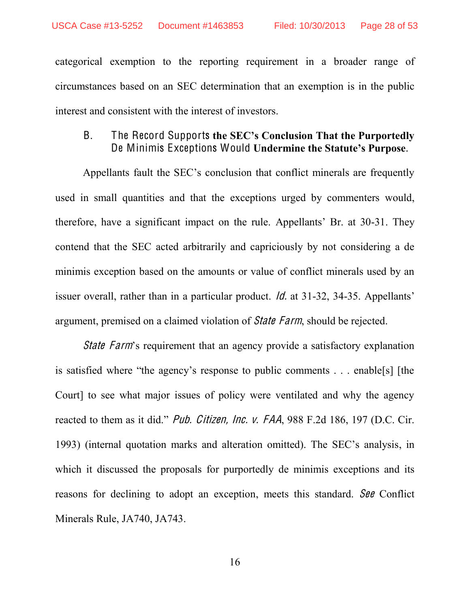categorical exemption to the reporting requirement in a broader range of circumstances based on an SEC determination that an exemption is in the public interest and consistent with the interest of investors.

### <span id="page-27-0"></span>B. The Record Supports the SEC's Conclusion That the Purportedly De Minimis Exceptions Would Undermine the Statute's Purpose.

Appellants fault the SEC's conclusion that conflict minerals are frequently used in small quantities and that the exceptions urged by commenters would, therefore, have a significant impact on the rule. Appellants' Br. at  $30-31$ . They contend that the SEC acted arbitrarily and capriciously by not considering a de minimis exception based on the amounts or value of conflict minerals used by an issuer overall, rather than in a particular product.  $\dot{\theta}$  at 31-32, 34-35. Appellants' argument, premised on a claimed violation of Stat<sup>e</sup> Farm, should be rejected.

*State Farm*'s requirement that an agency provide a satisfactory explanation is satisfied where "the agency's response to public comments  $\ldots$  enable [s] [the Court] to see what major issues of policy were ventilated and why the agency reacted to them as it did." Pub. Citizen, Inc. v. FAA, 988 F.2d 186, 197 (D.C. Cir. 1993) (internal quotation marks and alteration omitted). The SEC's analysis, in which it discussed the proposals for purportedly de minimis exceptions and its reasons for declining to adopt an exception, meets this standard. See Conflict Minerals Rule, JA740, JA743.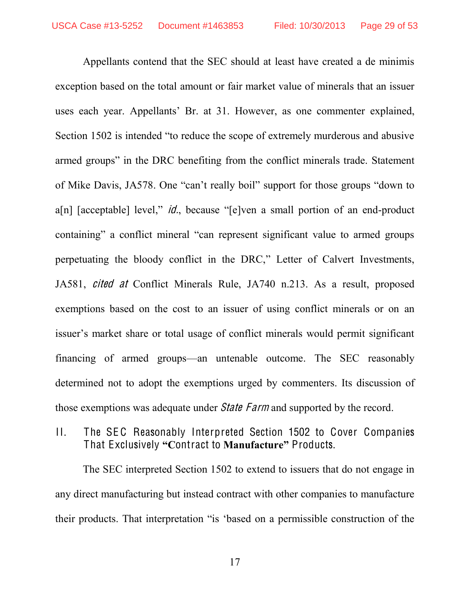Appellants contend that the SEC should at least have created a de minimis exception based on the total amount or fair market value of minerals that an issuer uses each year. Appellants' Br. at 31. However, as one commenter explained, Section 1502 is intended "to reduce the scope of extremely murderous and abusive armed groups" in the DRC benefiting from the conflict minerals trade. Statement of Mike Davis, JA578. One "can't really boil" support for those groups "down to  $a[n]$  [acceptable] level," *id.*, because "[e]ven a small portion of an end-product containing" a conflict mineral "can represent significant value to armed groups perpetuating the bloody conflict in the DRC," Letter of Calvert Investments, JA581, cited at Conflict Minerals Rule, JA740 n.213. As a result, proposed exemptions based on the cost to an issuer of using conflict minerals or on an issuer's market share or total usage of conflict minerals would permit significant financing of armed groups—an untenable outcome. The SEC reasonably determined not to adopt the exemptions urged by commenters. Its discussion of those exemptions was adequate under *State Farm* and supported by the record.

<span id="page-28-0"></span> $\Pi$ . The SEC Reasonably Interpreted Section 1502 to Cover Companies That Exclusively "Contract to Manufacture" Products.

The SEC interpreted Section 1502 to extend to issuers that do not engage in any direct manufacturing but instead contract with other companies to manufacture their products. That interpretation "is 'based on a permissible construction of the

17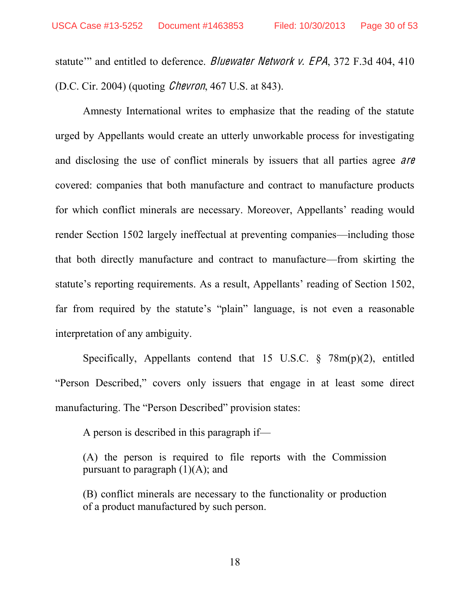statute" and entitled to deference. Bluewater Network v. EPA, 372 F.3d 404, 410 (D.C. Cir. 2004) (quoting Chevron, 467 U.S. at 843).

Amnesty International writes to emphasize that the reading of the statute urged by Appellants would create an utterly unworkable process for investigating and disclosing the use of conflict minerals by issuers that all parties agree *are* covered: companies that both manufacture and contract to manufacture products for which conflict minerals are necessary. Moreover, Appellants' reading would render Section 1502 largely ineffectual at preventing companies—including those that both directly manufacture and contract to manufacture—from skirting the statute's reporting requirements. As a result, Appellants' reading of Section 1502, far from required by the statute's "plain" language, is not even a reasonable interpretation of any ambiguity.

Specifically, Appellants contend that 15 U.S.C.  $\frac{1}{5}$  78m(p)(2), entitled "Person Described," covers only issuers that engage in at least some direct manufacturing. The "Person Described" provision states:

A person is described in this paragraph if—

(A) the person is required to file reports with the Commission pursuant to paragraph  $(1)(A)$ ; and

(B) conflict minerals are necessary to the functionality or production of a product manufactured by such person.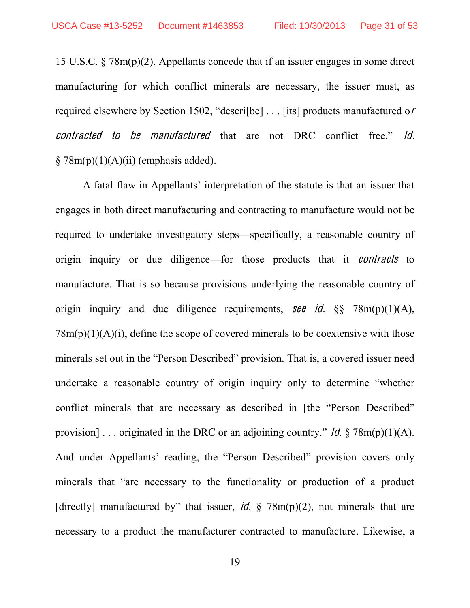15 U.S.C. § 78m(p)(2). Appellants concede that if an issuer engages in some direct manufacturing for which conflict minerals are necessary, the issuer must, as required elsewhere by Section 1502, "descrifbe]  $\dots$  [its] products manufactured or contracted to be manufactured that are not DRC conflict free." Id.  $\S$  78m(p)(1)(A)(ii) (emphasis added).

A fatal flaw in Appellants' interpretation of the statute is that an issuer that engages in both direct manufacturing and contracting to manufacture would not be required to undertake investigatory steps—specifically, a reasonable country of origin inquiry or due diligence—for those products that it *contracts* to manufacture. That is so because provisions underlying the reasonable country of origin inquiry and due diligence requirements, see id.  $\S$  78m(p)(1)(A),  $78m(p)(1)(A)(i)$ , define the scope of covered minerals to be coextensive with those minerals set out in the "Person Described" provision. That is, a covered issuer need undertake a reasonable country of origin inquiry only to determine "whether conflict minerals that are necessary as described in [the "Person Described" provision]... originated in the DRC or an adjoining country." *ld.*  $\sqrt[8]{78m(p)(1)(A)}$ . And under Appellants' reading, the "Person Described" provision covers only minerals that "are necessary to the functionality or production of a product [directly] manufactured by" that issuer, id. § 78m(p)(2), not minerals that are necessary to a product the manufacturer contracted to manufacture. Likewise, a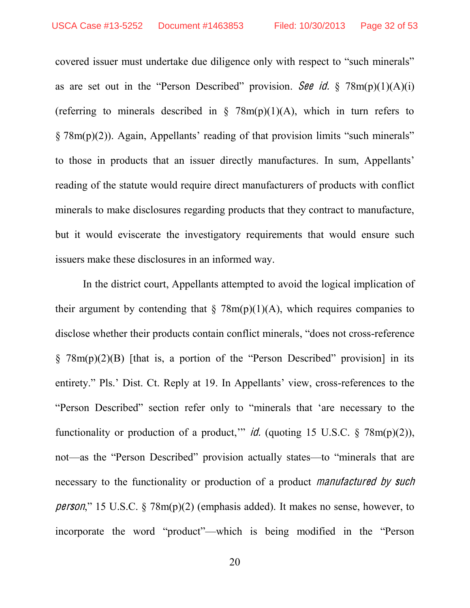covered issuer must undertake due diligence only with respect to "such minerals" as are set out in the "Person Described" provision. See id.  $\S$  78m(p)(1)(A)(i) (referring to minerals described in  $\S$  78m(p)(1)(A), which in turn refers to  $\S 78m(p)(2)$ ). Again, Appellants' reading of that provision limits "such minerals" to those in products that an issuer directly manufactures. In sum, Appellants' reading of the statute would require direct manufacturers of products with conflict minerals to make disclosures regarding products that they contract to manufacture, but it would eviscerate the investigatory requirements that would ensure such issuers make these disclosures in an informed way.

In the district court, Appellants attempted to avoid the logical implication of their argument by contending that  $\frac{8}{2}$  78m(p)(1)(A), which requires companies to disclose whether their products contain conflict minerals, "does not cross-reference"  $\S$  78m(p)(2)(B) [that is, a portion of the "Person Described" provision] in its entirety." Pls.' Dist. Ct. Reply at 19. In Appellants' view, cross-references to the "Person Described" section refer only to "minerals that 'are necessary to the functionality or production of a product," id. (quoting 15 U.S.C.  $\frac{$ \times 78m(p)(2)}{2}$ ), not—as the "Person Described" provision actually states—to "minerals that are necessary to the functionality or production of a product manufactured by such *person*," 15 U.S.C.  $\frac{8}{8}$  78m(p)(2) (emphasis added). It makes no sense, however, to incorporate the word "product"—which is being modified in the "Person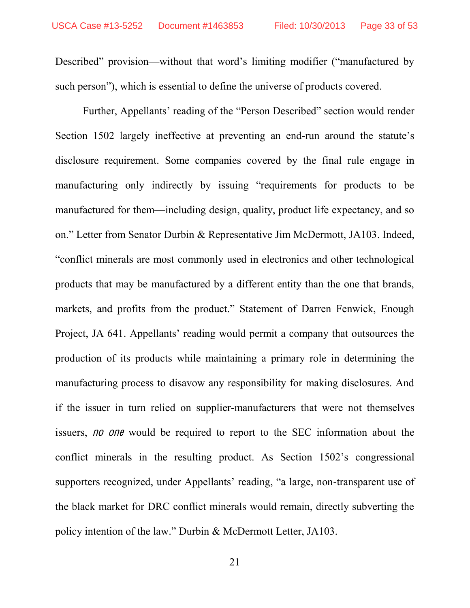Described" provision—without that word's limiting modifier ("manufactured by such person"), which is essential to define the universe of products covered.

Further, Appellants' reading of the "Person Described" section would render Section 1502 largely ineffective at preventing an end-run around the statute's disclosure requirement. Some companies covered by the final rule engage in manufacturing only indirectly by issuing "requirements for products to be manufactured for them—including design, quality, product life expectancy, and so on." Letter from Senator Durbin & Representative Jim McDermott, JA103. Indeed, "conflict minerals are most commonly used in electronics and other technological products that may be manufactured by a different entity than the one that brands, markets, and profits from the product." Statement of Darren Fenwick, Enough Project, JA 641. Appellants' reading would permit a company that outsources the production of its products while maintaining a primary role in determining the manufacturing process to disavow any responsibility for making disclosures. And if the issuer in turn relied on supplier-manufacturers that were not themselves issuers, *no one* would be required to report to the SEC information about the conflict minerals in the resulting product. As Section  $1502$ 's congressional supporters recognized, under Appellants' reading, "a large, non-transparent use of the black market for DRC conflict minerals would remain, directly subverting the policy intention of the law." Durbin & McDermott Letter, JA103.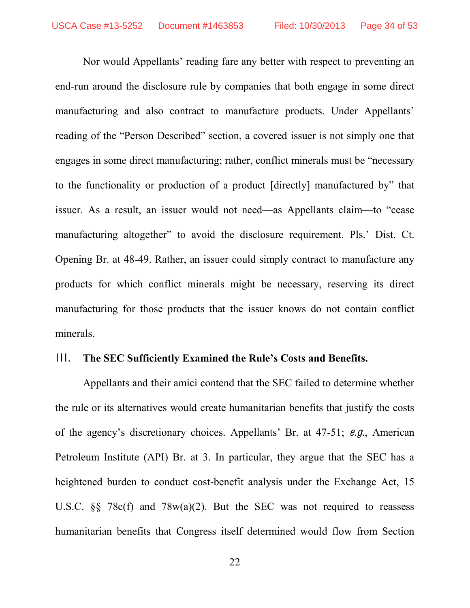Nor would Appellants' reading fare any better with respect to preventing an end-run around the disclosure rule by companies that both engage in some direct manufacturing and also contract to manufacture products. Under Appellants' reading of the "Person Described" section, a covered issuer is not simply one that engages in some direct manufacturing; rather, conflict minerals must be "necessary to the functionality or production of a product [directly] manufactured by" that issuer. As a result, an issuer would not need—as Appellants claim—to "cease manufacturing altogether" to avoid the disclosure requirement. Pls.' Dist. Ct. Opening Br. at 48-49. Rather, an issuer could simply contract to manufacture any products for which conflict minerals might be necessary, reserving its direct manufacturing for those products that the issuer knows do not contain conflict minerals.

#### <span id="page-33-0"></span>III. The SEC Sufficiently Examined the Rule's Costs and Benefits.

Appellants and their amici contend that the SEC failed to determine whether the rule or its alternatives would create humanitarian benefits that justify the costs of the agency's discretionary choices. Appellants' Br. at  $47-51$ ; e.g., American Petroleum Institute (API) Br. at 3. In particular, they argue that the SEC has a heightened burden to conduct cost-benefit analysis under the Exchange Act, 15 U.S.C. §§ 78c(f) and 78w(a)(2). But the SEC was not required to reassess humanitarian benefits that Congress itself determined would flow from Section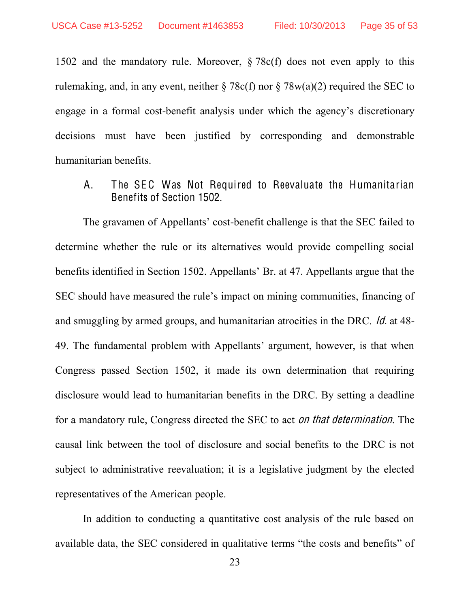1502 and the mandatory rule. Moreover, § 78c(f) does not even apply to this rulemaking, and, in any event, neither  $\S 78c(f)$  nor  $\S 78w(a)(2)$  required the SEC to engage in a formal cost-benefit analysis under which the agency's discretionary decisions must have been justified by corresponding and demonstrable humanitarian benefits.

<span id="page-34-0"></span>A. The SEC Was Not Required to Reevaluate the Humanitarian Benefits of Section 1502.

The gravamen of Appellants' cost-benefit challenge is that the SEC failed to determine whether the rule or its alternatives would provide compelling social benefits identified in Section 1502. Appellants' Br. at 47. Appellants argue that the SEC should have measured the rule's impact on mining communities, financing of and smuggling by armed groups, and humanitarian atrocities in the DRC. Id. at 48- 49. The fundamental problem with Appellants' argument, however, is that when Congress passed Section 1502, it made its own determination that requiring disclosure would lead to humanitarian benefits in the DRC. By setting a deadline for a mandatory rule, Congress directed the SEC to act on <sup>t</sup>ha<sup>t</sup> determination. The causal link between the tool of disclosure and social benefits to the DRC is not subject to administrative reevaluation; it is a legislative judgment by the elected representatives of the American people.

In addition to conducting a quantitative cost analysis of the rule based on available data, the SEC considered in qualitative terms "the costs and benefits" of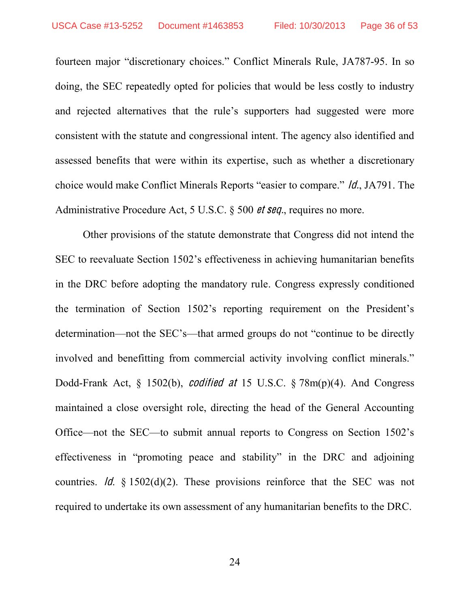fourteen major "discretionary choices." Conflict Minerals Rule, JA787-95. In so doing, the SEC repeatedly opted for policies that would be less costly to industry and rejected alternatives that the rule's supporters had suggested were more consistent with the statute and congressional intent. The agency also identified and assessed benefits that were within its expertise, such as whether a discretionary choice would make Conflict Minerals Reports "easier to compare." *ld.*, JA791. The Administrative Procedure Act, 5 U.S.C. § 500 et seq., requires no more.

Other provisions of the statute demonstrate that Congress did not intend the SEC to reevaluate Section 1502's effectiveness in achieving humanitarian benefits in the DRC before adopting the mandatory rule. Congress expressly conditioned the termination of Section 1502's reporting requirement on the President's determination—not the SEC's—that armed groups do not "continue to be directly involved and benefitting from commercial activity involving conflict minerals." Dodd-Frank Act, § 1502(b), codified <sup>a</sup><sup>t</sup> 15 U.S.C. § 78m(p)(4). And Congress maintained a close oversight role, directing the head of the General Accounting Office—not the SEC—to submit annual reports to Congress on Section 1502's effectiveness in "promoting peace and stability" in the DRC and adjoining countries. *Id.*  $\frac{1}{2}$  1502(d)(2). These provisions reinforce that the SEC was not required to undertake its own assessment of any humanitarian benefits to the DRC.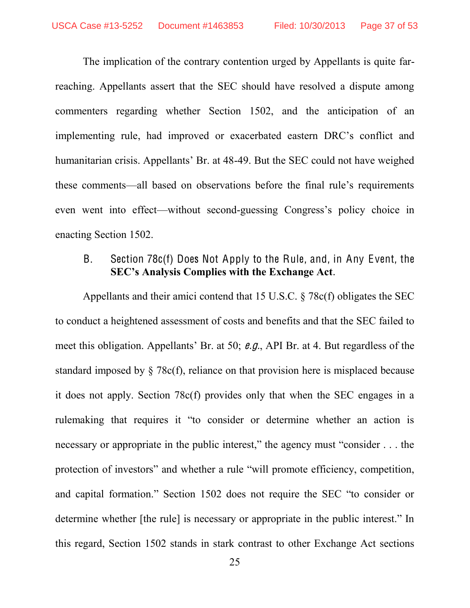The implication of the contrary contention urged by Appellants is quite farreaching. Appellants assert that the SEC should have resolved a dispute among commenters regarding whether Section 1502, and the anticipation of an implementing rule, had improved or exacerbated eastern DRC's conflict and humanitarian crisis. Appellants' Br. at 48-49. But the SEC could not have weighed these comments—all based on observations before the final rule's requirements even went into effect—without second-guessing Congress's policy choice in enacting Section 1502.

### <span id="page-36-0"></span>B. Section 78c(f) Does Not Apply to the Rule, and, in Any Event, the **SEC's Analysis Complies with the Exchange Act.**

Appellants and their amici contend that 15 U.S.C. § 78c(f) obligates the SEC to conduct a heightened assessment of costs and benefits and that the SEC failed to meet this obligation. Appellants' Br. at 50;  $\theta$ .g., API Br. at 4. But regardless of the standard imposed by § 78c(f), reliance on that provision here is misplaced because it does not apply. Section 78c(f) provides only that when the SEC engages in a rulemaking that requires it "to consider or determine whether an action is necessary or appropriate in the public interest," the agency must "consider  $\dots$  the protection of investors" and whether a rule "will promote efficiency, competition, and capital formation." Section 1502 does not require the SEC "to consider or determine whether [the rule] is necessary or appropriate in the public interest." In this regard, Section 1502 stands in stark contrast to other Exchange Act sections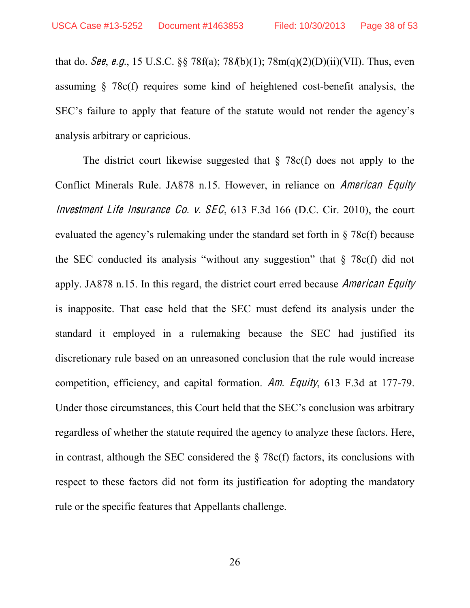that do. *See, e.g.*, 15 U.S.C. §§ 78f(a); 78/(b)(1); 78m(q)(2)(D)(ii)(VII). Thus, even assuming § 78c(f) requires some kind of heightened cost-benefit analysis, the SEC's failure to apply that feature of the statute would not render the agency's analysis arbitrary or capricious.

The district court likewise suggested that  $\S$  78c(f) does not apply to the Conflict Minerals Rule. JA878 n.15. However, in reliance on American Equity Investment Life Insurance Co. v.  $SEC, 613 F.3d 166 (D.C. Cir. 2010)$ , the court evaluated the agency's rulemaking under the standard set forth in  $\S$  78c(f) because the SEC conducted its analysis "without any suggestion" that  $\S$  78c(f) did not apply. JA878 n.15. In this regard, the district court erred because American Equity is inapposite. That case held that the SEC must defend its analysis under the standard it employed in a rulemaking because the SEC had justified its discretionary rule based on an unreasoned conclusion that the rule would increase competition, efficiency, and capital formation. Am. Equity, 613 F.3d at 177-79. Under those circumstances, this Court held that the SEC's conclusion was arbitrary regardless of whether the statute required the agency to analyze these factors. Here, in contrast, although the SEC considered the  $\S$  78c(f) factors, its conclusions with respect to these factors did not form its justification for adopting the mandatory rule or the specific features that Appellants challenge.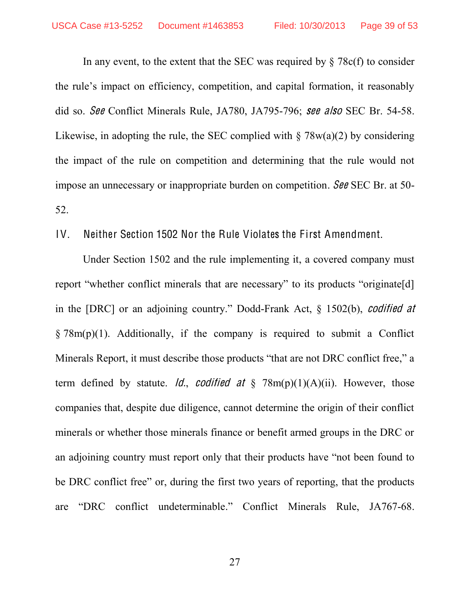In any event, to the extent that the SEC was required by  $\S 78c(f)$  to consider the rule's impact on efficiency, competition, and capital formation, it reasonably did so. See Conflict Minerals Rule, JA780, JA795-796; <sup>s</sup>ee als<sup>o</sup> SEC Br. 54-58. Likewise, in adopting the rule, the SEC complied with  $\S 78w(a)(2)$  by considering the impact of the rule on competition and determining that the rule would not impose an unnecessary or inappropriate burden on competition. See SEC Br. at 50- 52.

<span id="page-38-0"></span>IV. Neither Section 1502 Nor the Rule Violates the First Amendment.

Under Section 1502 and the rule implementing it, a covered company must report "whether conflict minerals that are necessary" to its products "originate [d] in the [DRC] or an adjoining country." Dodd-Frank Act,  $\S$  1502(b), *codified at*  $\S 78m(p)(1)$ . Additionally, if the company is required to submit a Conflict Minerals Report, it must describe those products "that are not DRC conflict free," a term defined by statute. *Id., codified at*  $\S$  78m(p)(1)(A)(ii). However, those companies that, despite due diligence, cannot determine the origin of their conflict minerals or whether those minerals finance or benefit armed groups in the DRC or an adjoining country must report only that their products have "not been found to be DRC conflict free" or, during the first two years of reporting, that the products are "DRC conflict undeterminable." Conflict Minerals Rule, JA767-68.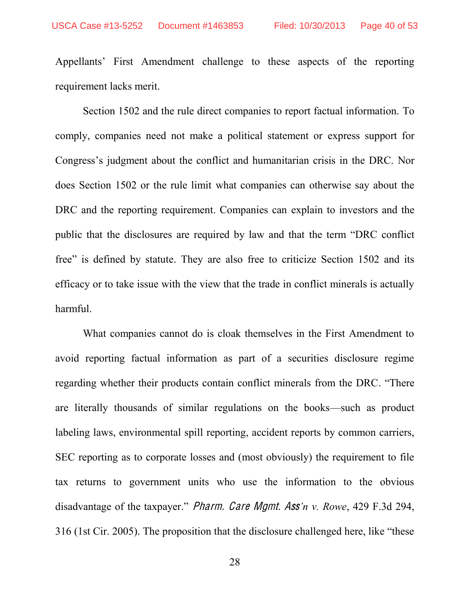Appellants' First Amendment challenge to these aspects of the reporting requirement lacks merit.

Section 1502 and the rule direct companies to report factual information. To comply, companies need not make a political statement or express support for Congress's judgment about the conflict and humanitarian crisis in the DRC. Nor does Section 1502 or the rule limit what companies can otherwise say about the DRC and the reporting requirement. Companies can explain to investors and the public that the disclosures are required by law and that the term "DRC conflict" free" is defined by statute. They are also free to criticize Section 1502 and its efficacy or to take issue with the view that the trade in conflict minerals is actually harmful.

What companies cannot do is cloak themselves in the First Amendment to avoid reporting factual information as part of a securities disclosure regime regarding whether their products contain conflict minerals from the DRC. "There are literally thousands of similar regulations on the books—such as product labeling laws, environmental spill reporting, accident reports by common carriers, SEC reporting as to corporate losses and (most obviously) the requirement to file tax returns to government units who use the information to the obvious disadvantage of the taxpayer." *Pharm. Care Mgmt. Ass'n v. Rowe*, 429 F.3d 294, 316 (1st Cir. 2005). The proposition that the disclosure challenged here, like "these"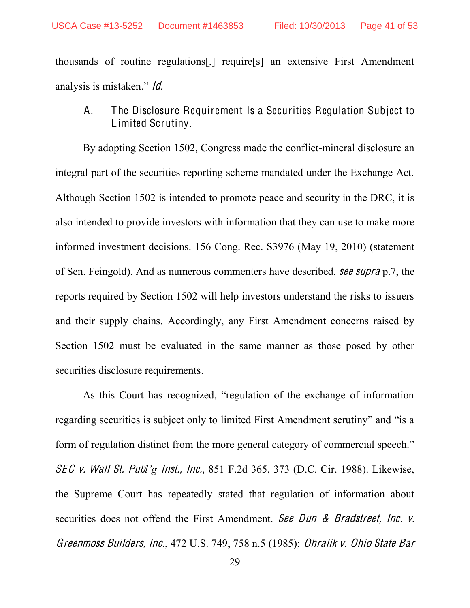thousands of routine regulations[,] require[s] an extensive First Amendment analysis is mistaken."  $\theta$ .

<span id="page-40-0"></span>A. The Disclosure Requirement Is a Securities Regulation Subject to Limited Scrutiny.

By adopting Section 1502, Congress made the conflict-mineral disclosure an integral part of the securities reporting scheme mandated under the Exchange Act. Although Section 1502 is intended to promote peace and security in the DRC, it is also intended to provide investors with information that they can use to make more informed investment decisions. 156 Cong. Rec. S3976 (May 19, 2010) (statement of Sen. Feingold). And as numerous commenters have described, <sup>s</sup>ee <sup>s</sup>upra p.7, the reports required by Section 1502 will help investors understand the risks to issuers and their supply chains. Accordingly, any First Amendment concerns raised by Section 1502 must be evaluated in the same manner as those posed by other securities disclosure requirements.

As this Court has recognized, "regulation of the exchange of information regarding securities is subject only to limited First Amendment scrutiny" and "is a form of regulation distinct from the more general category of commercial speech." SEC v. Wall St. Publ'g Inst., Inc., 851 F.2d 365, 373 (D.C. Cir. 1988). Likewise, the Supreme Court has repeatedly stated that regulation of information about securities does not offend the First Amendment. See Dun & Bradstreet, Inc. v. Greenmoss Builders, Inc., 472 U.S. 749, 758 n.5 (1985); Ohralik <sup>v</sup>. Ohio Stat<sup>e</sup> Bar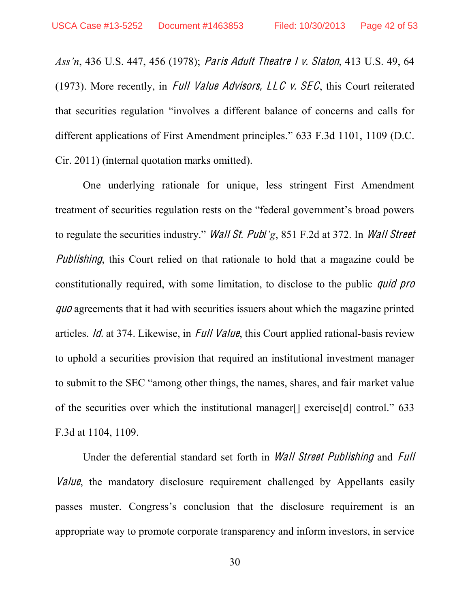*Ass'n*, 436 U.S. 447, 456 (1978); *Paris Adult Theatre I v. Slaton*, 413 U.S. 49, 64 (1973). More recently, in *Full Value Advisors, LLC v. SEC*, this Court reiterated that securities regulation "involves a different balance of concerns and calls for different applications of First Amendment principles. $\degree$  633 F.3d 1101, 1109 (D.C. Cir. 2011) (internal quotation marks omitted).

One underlying rationale for unique, less stringent First Amendment treatment of securities regulation rests on the "federal government's broad powers to regulate the securities industry." *Wall St. Publ'g*, 851 F.2d at 372. In *Wall Street Publishing*, this Court relied on that rationale to hold that a magazine could be constitutionally required, with some limitation, to disclose to the public quid pro quo agreements that it had with securities issuers about which the magazine printed articles. Id. at 374. Likewise, in Full Value, this Court applied rational-basis review to uphold a securities provision that required an institutional investment manager to submit to the SEC "among other things, the names, shares, and fair market value of the securities over which the institutional manager<sup>[]</sup> exercise<sup>[d]</sup> control." 633 F.3d at 1104, 1109.

Under the deferential standard set forth in Wall Stree<sup>t</sup> Publishing and Full Value, the mandatory disclosure requirement challenged by Appellants easily passes muster. Congress's conclusion that the disclosure requirement is an appropriate way to promote corporate transparency and inform investors, in service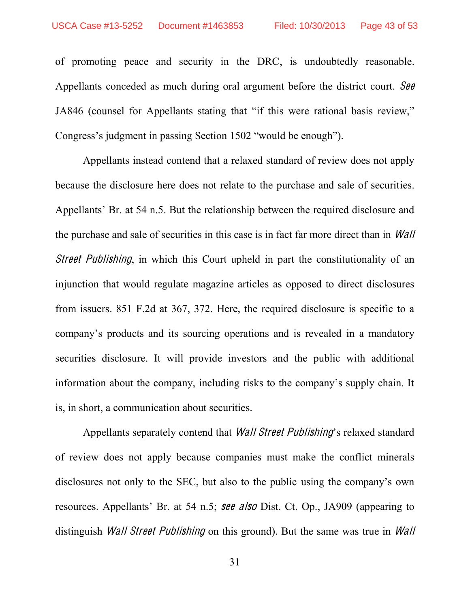of promoting peace and security in the DRC, is undoubtedly reasonable. Appellants conceded as much during oral argument before the district court. See JA846 (counsel for Appellants stating that "if this were rational basis review," Congress's judgment in passing Section 1502 "would be enough").

Appellants instead contend that a relaxed standard of review does not apply because the disclosure here does not relate to the purchase and sale of securities. Appellants' Br. at 54 n.5. But the relationship between the required disclosure and the purchase and sale of securities in this case is in fact far more direct than in Wall *Street Publishing*, in which this Court upheld in part the constitutionality of an injunction that would regulate magazine articles as opposed to direct disclosures from issuers. 851 F.2d at 367, 372. Here, the required disclosure is specific to a company's products and its sourcing operations and is revealed in a mandatory securities disclosure. It will provide investors and the public with additional information about the company, including risks to the company's supply chain. It is, in short, a communication about securities.

Appellants separately contend that *Wall Street Publishing*'s relaxed standard of review does not apply because companies must make the conflict minerals disclosures not only to the SEC, but also to the public using the company's own resources. Appellants' Br. at 54 n.5; see also Dist. Ct. Op., JA909 (appearing to distinguish *Wall Street Publishing* on this ground). But the same was true in *Wall*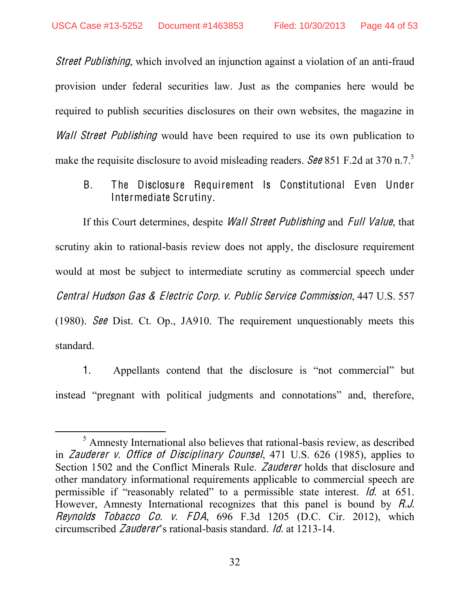Street Publishing, which involved an injunction against a violation of an anti-fraud provision under federal securities law. Just as the companies here would be required to publish securities disclosures on their own websites, the magazine in Wall Street Publishing would have been required to use its own publication to make the requisite disclosure to avoid misleading readers. See 851 F.2d at 370 n.7.<sup>5</sup>

<span id="page-43-0"></span>B. The Disclosure Requirement Is Constitutional Even Under Intermediate Scrutiny.

If this Court determines, despite *Wall Street Publishing* and *Full Value*, that scrutiny akin to rational-basis review does not apply, the disclosure requirement would at most be subject to intermediate scrutiny as commercial speech under Central Hudson Ga<sup>s</sup> & Electri<sup>c</sup> Corp. <sup>v</sup>. Publi<sup>c</sup> Service Commission, 447 U.S. 557 (1980). See Dist. Ct. Op., JA910. The requirement unquestionably meets this standard.

1. Appellants contend that the disclosure is "not commercial" but instead "pregnant with political judgments and connotations" and, therefore,

 <sup>5</sup> Amnesty International also believes that rational-basis review, as described in Zaudere<sup>r</sup> <sup>v</sup>. Office <sup>o</sup>f Disciplinary Counsel, 471 U.S. 626 (1985), applies to Section 1502 and the Conflict Minerals Rule. Zaudere<sup>r</sup> holds that disclosure and other mandatory informational requirements applicable to commercial speech are permissible if "reasonably related" to a permissible state interest. Id. at 651. However, Amnesty International recognizes that this panel is bound by R.J. Reynold<sup>s</sup> Tobacc<sup>o</sup> Co. <sup>v</sup>. FDA, 696 F.3d 1205 (D.C. Cir. 2012), which circumscribed *Zauderer*'s rational-basis standard. *Id.* at 1213-14.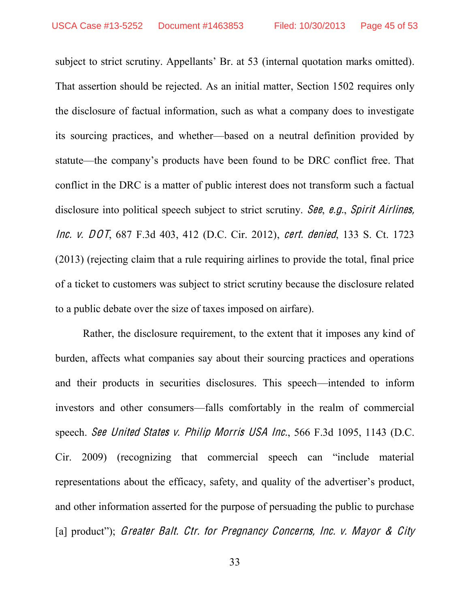subject to strict scrutiny. Appellants' Br. at 53 (internal quotation marks omitted). That assertion should be rejected. As an initial matter, Section 1502 requires only the disclosure of factual information, such as what a company does to investigate its sourcing practices, and whether—based on a neutral definition provided by statute—the company's products have been found to be DRC conflict free. That conflict in the DRC is a matter of public interest does not transform such a factual disclosure into political speech subject to strict scrutiny. See, e.g., Spirit Airlines, Inc. <sup>v</sup>. DOT, 687 F.3d 403, 412 (D.C. Cir. 2012), cert. denied, 133 S. Ct. 1723 (2013) (rejecting claim that a rule requiring airlines to provide the total, final price of a ticket to customers was subject to strict scrutiny because the disclosure related to a public debate over the size of taxes imposed on airfare).

Rather, the disclosure requirement, to the extent that it imposes any kind of burden, affects what companies say about their sourcing practices and operations and their products in securities disclosures. This speech—intended to inform investors and other consumers—falls comfortably in the realm of commercial speech. See United State<sup>s</sup> <sup>v</sup>. Philip Morri<sup>s</sup> USA Inc., 566 F.3d 1095, 1143 (D.C. Cir. 2009) (recognizing that commercial speech can "include material representations about the efficacy, safety, and quality of the advertiser's product, and other information asserted for the purpose of persuading the public to purchase [a] product"); Greater Balt. Ctr. for Pregnancy Concerns, Inc. v. Mayor & City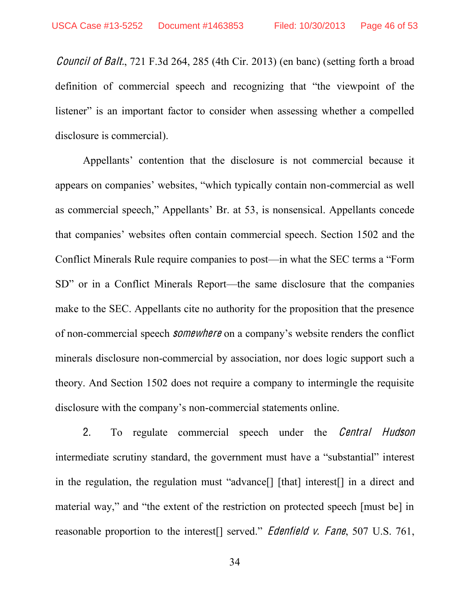Council <sup>o</sup>f Balt., 721 F.3d 264, 285 (4th Cir. 2013) (en banc) (setting forth a broad definition of commercial speech and recognizing that "the viewpoint of the listener" is an important factor to consider when assessing whether a compelled disclosure is commercial).

Appellants' contention that the disclosure is not commercial because it appears on companies' websites, "which typically contain non-commercial as well as commercial speech," Appellants' Br. at 53, is nonsensical. Appellants concede that companies' websites often contain commercial speech. Section 1502 and the Conflict Minerals Rule require companies to post—in what the SEC terms a "Form" SD" or in a Conflict Minerals Report—the same disclosure that the companies make to the SEC. Appellants cite no authority for the proposition that the presence of non-commercial speech *somewhere* on a company's website renders the conflict minerals disclosure non-commercial by association, nor does logic support such a theory. And Section 1502 does not require a company to intermingle the requisite disclosure with the company's non-commercial statements online.

2. To regulate commercial speech under the *Central Hudson* intermediate scrutiny standard, the government must have a "substantial" interest in the regulation, the regulation must "advance"  $\lceil \int$  [that] interest  $\lceil \cdot \rceil$  in a direct and material way," and "the extent of the restriction on protected speech [must be] in reasonable proportion to the interest reasonable proportion to the interest reasonable v. Fane, 507 U.S. 761,

34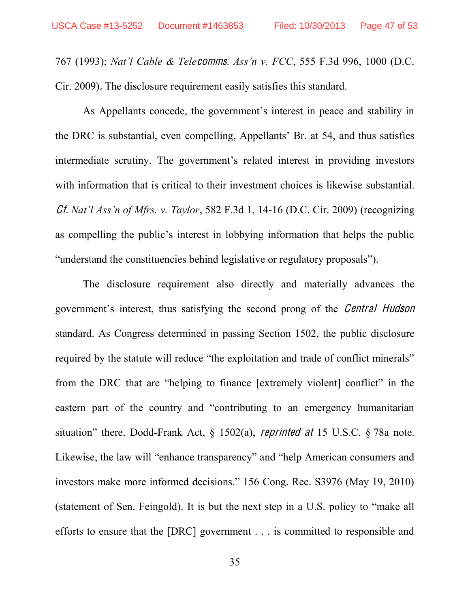767 (1993); *Nat'l Cable & Telecomms. Ass'n v. FCC*, 555 F.3d 996, 1000 (D.C. Cir. 2009). The disclosure requirement easily satisfies this standard.

As Appellants concede, the government's interest in peace and stability in the DRC is substantial, even compelling, Appellants' Br. at 54, and thus satisfies intermediate scrutiny. The government's related interest in providing investors with information that is critical to their investment choices is likewise substantial. *Cf. Nat'l Ass'n of Mfrs. v. Taylor*, 582 F.3d 1, 14-16 (D.C. Cir. 2009) (recognizing as compelling the public's interest in lobbying information that helps the public "understand the constituencies behind legislative or regulatory proposals").

The disclosure requirement also directly and materially advances the government's interest, thus satisfying the second prong of the *Central Hudson* standard. As Congress determined in passing Section 1502, the public disclosure required by the statute will reduce "the exploitation and trade of conflict minerals" from the DRC that are "helping to finance [extremely violent] conflict" in the eastern part of the country and "contributing to an emergency humanitarian situation" there. Dodd-Frank Act,  $\S$  1502(a), *reprinted at* 15 U.S.C.  $\S$  78a note. Likewise, the law will "enhance transparency" and "help American consumers and investors make more informed decisions." 156 Cong. Rec. S3976 (May 19, 2010) (statement of Sen. Feingold). It is but the next step in a U.S. policy to "make all efforts to ensure that the [DRC] government . . . is committed to responsible and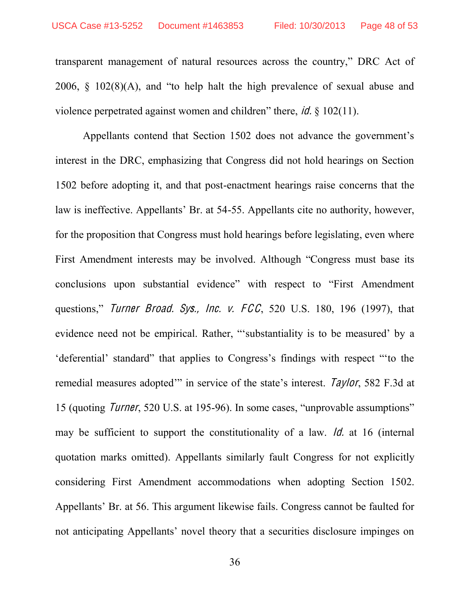transparent management of natural resources across the country," DRC Act of 2006,  $\S$  102(8)(A), and "to help halt the high prevalence of sexual abuse and violence perpetrated against women and children" there, *id.*  $\frac{\xi}{2}$  102(11).

Appellants contend that Section 1502 does not advance the government's interest in the DRC, emphasizing that Congress did not hold hearings on Section 1502 before adopting it, and that post-enactment hearings raise concerns that the law is ineffective. Appellants' Br. at 54-55. Appellants cite no authority, however, for the proposition that Congress must hold hearings before legislating, even where First Amendment interests may be involved. Although "Congress must base its conclusions upon substantial evidence" with respect to "First Amendment" questions," Turner Broad. Sys., Inc. v.  $FCC$ , 520 U.S. 180, 196 (1997), that evidence need not be empirical. Rather, "substantiality is to be measured' by a "deferential" standard" that applies to Congress's findings with respect "to the remedial measures adopted" in service of the state's interest. *Taylor*, 582 F.3d at 15 (quoting *Turner*, 520 U.S. at 195-96). In some cases, "unprovable assumptions" may be sufficient to support the constitutionality of a law. *Id.* at 16 (internal quotation marks omitted). Appellants similarly fault Congress for not explicitly considering First Amendment accommodations when adopting Section 1502. Appellants' Br. at 56. This argument likewise fails. Congress cannot be faulted for not anticipating Appellants' novel theory that a securities disclosure impinges on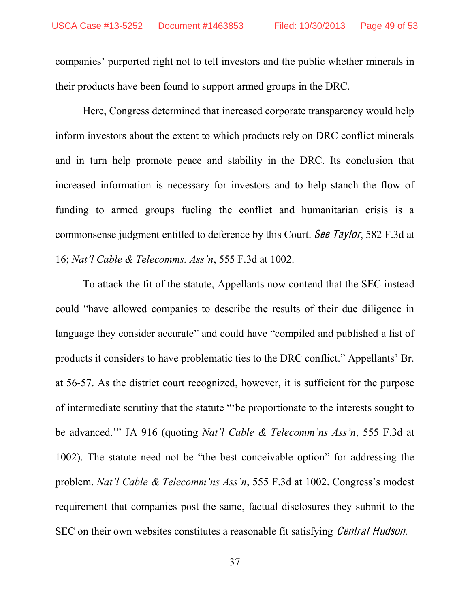companies' purported right not to tell investors and the public whether minerals in their products have been found to support armed groups in the DRC.

Here, Congress determined that increased corporate transparency would help inform investors about the extent to which products rely on DRC conflict minerals and in turn help promote peace and stability in the DRC. Its conclusion that increased information is necessary for investors and to help stanch the flow of funding to armed groups fueling the conflict and humanitarian crisis is a commonsense judgment entitled to deference by this Court. See Taylor, 582 F.3d at 16; *Nat'l Cable & Telecomms. Ass'n*, 555 F.3d at 1002.

To attack the fit of the statute, Appellants now contend that the SEC instead could "have allowed companies to describe the results of their due diligence in language they consider accurate" and could have "compiled and published a list of products it considers to have problematic ties to the DRC conflict." Appellants' Br. at 56-57. As the district court recognized, however, it is sufficient for the purpose of intermediate scrutiny that the statute "be proportionate to the interests sought to be advanced." JA 916 (quoting *Nat'l Cable & Telecomm'ns Ass'n*, 555 F.3d at 1002). The statute need not be "the best conceivable option" for addressing the problem. *Nat'l Cable & Telecomm'ns Ass'n*, 555 F.3d at 1002. Congress's modest requirement that companies post the same, factual disclosures they submit to the SEC on their own websites constitutes a reasonable fit satisfying *Central Hudson*.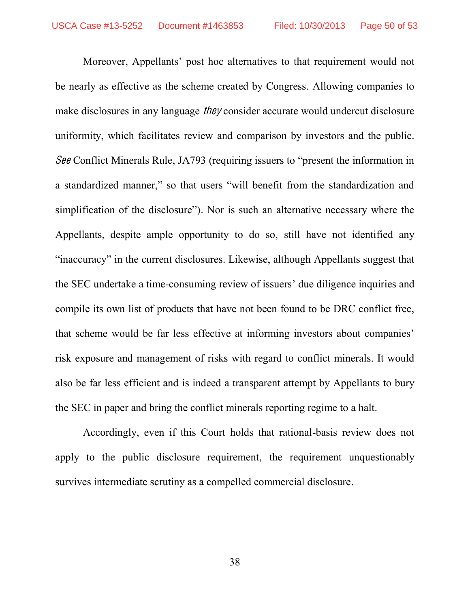Moreover, Appellants' post hoc alternatives to that requirement would not be nearly as effective as the scheme created by Congress. Allowing companies to make disclosures in any language *they* consider accurate would undercut disclosure uniformity, which facilitates review and comparison by investors and the public. See Conflict Minerals Rule, JA793 (requiring issuers to "present the information in a standardized manner," so that users "will benefit from the standardization and simplification of the disclosure"). Nor is such an alternative necessary where the Appellants, despite ample opportunity to do so, still have not identified any "inaccuracy" in the current disclosures. Likewise, although Appellants suggest that the SEC undertake a time-consuming review of issuers' due diligence inquiries and compile its own list of products that have not been found to be DRC conflict free, that scheme would be far less effective at informing investors about companies' risk exposure and management of risks with regard to conflict minerals. It would also be far less efficient and is indeed a transparent attempt by Appellants to bury the SEC in paper and bring the conflict minerals reporting regime to a halt.

Accordingly, even if this Court holds that rational-basis review does not apply to the public disclosure requirement, the requirement unquestionably survives intermediate scrutiny as a compelled commercial disclosure.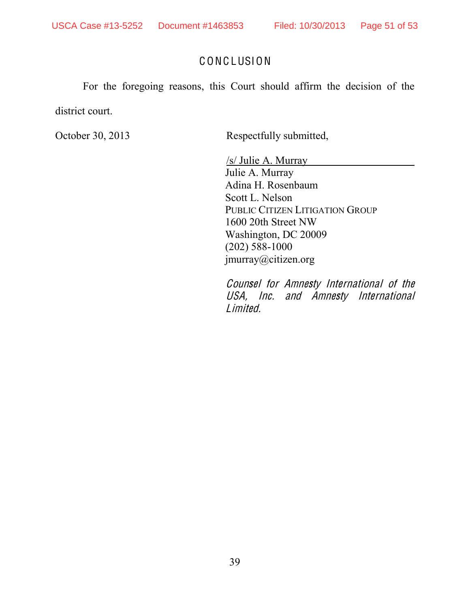### C ONC LUSION

<span id="page-50-0"></span>For the foregoing reasons, this Court should affirm the decision of the district court.

October 30, 2013 Respectfully submitted,

 /s/ Julie A. Murray Julie A. Murray Adina H. Rosenbaum Scott L. Nelson PUBLIC CITIZEN LITIGATION GROUP 1600 20th Street NW Washington, DC 20009 (202) 588-1000 jmurray@citizen.org

Counsel for Amnesty International <sup>o</sup>f th<sup>e</sup> USA, Inc. and Amnesty International Limited.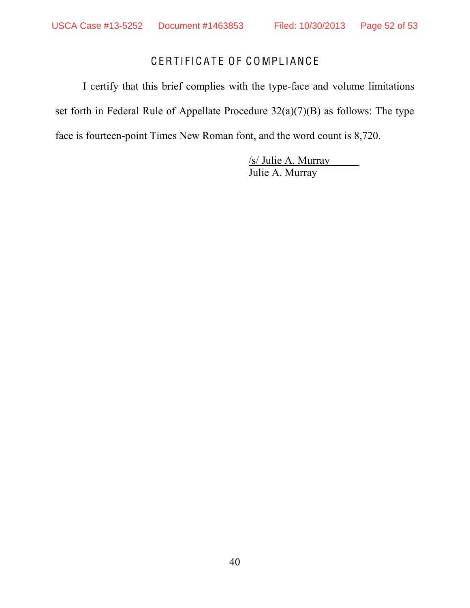# CERTIFICATE OF COMPLIANCE

<span id="page-51-0"></span>I certify that this brief complies with the type-face and volume limitations set forth in Federal Rule of Appellate Procedure 32(a)(7)(B) as follows: The type face is fourteen-point Times New Roman font, and the word count is 8,720.

> /s/ Julie A. Murray Julie A. Murray